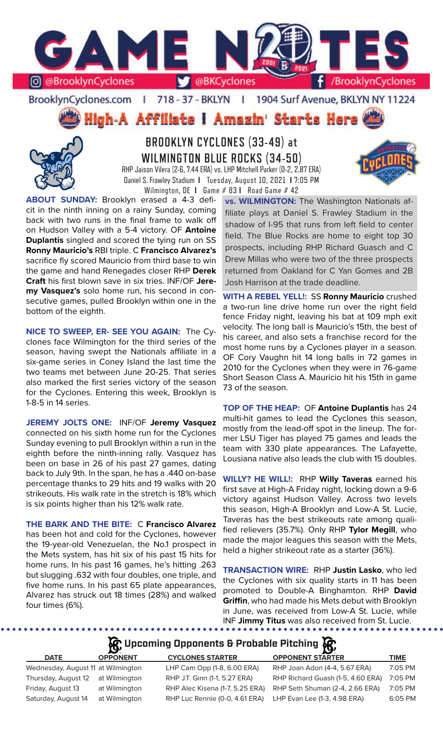

BrooklynCyclones.com | 718 - 37 - BKLYN | 1904 Surf Avenue, BKLYN NY 11224

**High-A Affiliate I Amazin' Starts Here** 



**BROOKLYN CYCLONES (33-49) at WILMINGTON BLUE ROCKS (34-50)** RHP Jaison Vilera (2-6, 7.44 ERA) vs. LHP Mitchell Parker (0-2, 2.87 ERA) Daniel S. Frawley Stadium **I** Tuesday, August 10, 2021 **I** 7:05 PM

Wilmington, DE **I** Game # 83 **I** Road Game # 42



**ABOUT SUNDAY:** Brooklyn erased a 4-3 deficit in the ninth inning on a rainy Sunday, coming back with two runs in the final frame to walk off on Hudson Valley with a 5-4 victory. OF **Antoine Duplantis** singled and scored the tying run on SS **Ronny Mauricio's** RBI triple. C **Francisco Alvarez's**  sacrifice fly scored Mauricio from third base to win the game and hand Renegades closer RHP **Derek Craft** his first blown save in six tries. INF/OF **Jeremy Vasquez's** solo home run, his second in consecutive games, pulled Brooklyn within one in the bottom of the eighth.

**NICE TO SWEEP, ER- SEE YOU AGAIN:** The Cyclones face Wilmington for the third series of the season, having swept the Nationals affiliate in a six-game series in Coney Island the last time the two teams met between June 20-25. That series also marked the first series victory of the season for the Cyclones. Entering this week, Brooklyn is 1-8-5 in 14 series.

**JEREMY JOLTS ONE:** INF/OF **Jeremy Vasquez**  connected on his sixth home run for the Cyclones Sunday evening to pull Brooklyn within a run in the eighth before the ninth-inning rally. Vasquez has been on base in 26 of his past 27 games, dating back to July 9th. In the span, he has a .440 on-base percentage thanks to 29 hits and 19 walks with 20 strikeouts. His walk rate in the stretch is 18% which is six points higher than his 12% walk rate.

**THE BARK AND THE BITE:** C **Francisco Alvarez**  has been hot and cold for the Cyclones, however the 19-year-old Venezuelan, the No.1 prospect in the Mets system, has hit six of his past 15 hits for home runs. In his past 16 games, he's hitting .263 but slugging .632 with four doubles, one triple, and five home runs. In his past 65 plate appearances, Alvarez has struck out 18 times (28%) and walked four times (6%).

**vs. WILMINGTON:** The Washington Nationals affiliate plays at Daniel S. Frawley Stadium in the shadow of I-95 that runs from left field to center field. The Blue Rocks are home to eight top 30 prospects, including RHP Richard Guasch and C Drew Millas who were two of the three prospects returned from Oakland for C Yan Gomes and 2B Josh Harrison at the trade deadline.

**WITH A REBEL YELL!:** SS **Ronny Mauricio** crushed a two-run line drive home run over the right field fence Friday night, leaving his bat at 109 mph exit velocity. The long ball is Mauricio's 15th, the best of his career, and also sets a franchise record for the most home runs by a Cyclones player in a season. OF Cory Vaughn hit 14 long balls in 72 games in 2010 for the Cyclones when they were in 76-game Short Season Class A. Mauricio hit his 15th in game 73 of the season.

**TOP OF THE HEAP:** OF **Antoine Duplantis** has 24 multi-hit games to lead the Cyclones this season, mostly from the lead-off spot in the lineup. The former LSU Tiger has played 75 games and leads the team with 330 plate appearances. The Lafayette, Lousiana native also leads the club with 15 doubles.

**WILLY? HE WILL!:** RHP **Willy Taveras** earned his first save at High-A Friday night, locking down a 9-6 victory against Hudson Valley. Across two levels this season, High-A Brooklyn and Low-A St. Lucie, Taveras has the best strikeouts rate among qualified relievers (35.7%). Only RHP **Tylor Megill**, who made the major leagues this season with the Mets, held a higher strikeout rate as a starter (36%).

**TRANSACTION WIRE:** RHP **Justin Lasko**, who led the Cyclones with six quality starts in 11 has been promoted to Double-A Binghamton. RHP **David Griffin**, who had made his Mets debut with Brooklyn in June, was received from Low-A St. Lucie, while INF **Jimmy Titus** was also received from St. Lucie.

## **R** Upcoming Opponents & Probable Pitching **R**

| <b>DATE</b>                        | <b>OPPONENT</b> | <b>CYCLONES STARTER</b>         | <b>OPPONENT STARTER</b>           | <b>TIME</b> |
|------------------------------------|-----------------|---------------------------------|-----------------------------------|-------------|
| Wednesday, August 11 at Wilmington |                 | LHP Cam Opp (1-8, 6.00 ERA)     | RHP Joan Adon (4-4, 5.67 ERA)     | 7:05 PM     |
| Thursday, August 12                | at Wilmington   | RHP J.T. Ginn (1-1, 5.27 ERA)   | RHP Richard Guash (1-5, 4.60 ERA) | 7:05 PM     |
| Friday, August 13                  | at Wilmington   | RHP Alec Kisena (1-7, 5.25 ERA) | RHP Seth Shuman (2-4, 2.66 ERA)   | $7:05$ PM   |
| Saturday, August 14                | at Wilmington   | RHP Luc Rennie (0-0, 4.61 ERA)  | LHP Evan Lee (1-3, 4.98 ERA)      | 6:05 PM     |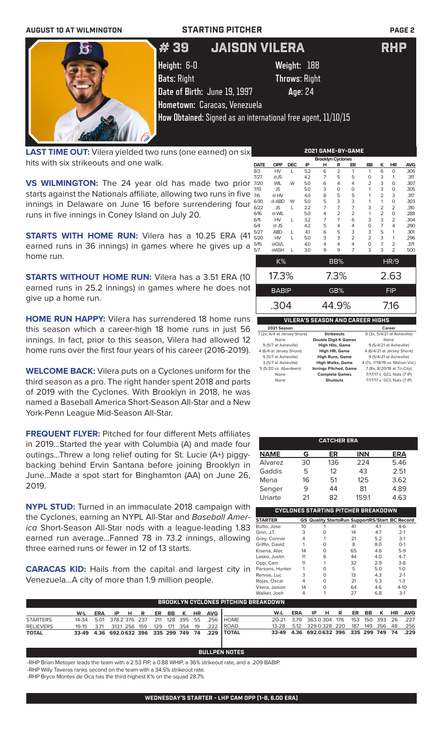| <b>AUGUST 10 AT WILMINGTON</b> |                              | <b>STARTING PITCHER</b>                                       | <b>PAGE 2</b> |
|--------------------------------|------------------------------|---------------------------------------------------------------|---------------|
| $\mathbf{G}$                   | # 39                         | IJAISON VILERA                                                | <b>RHP</b>    |
|                                | Height: 6-0                  | Weight: 188                                                   |               |
|                                | <b>Bats: Right</b>           | <b>Throws: Right</b>                                          |               |
|                                | Date of Birth: June 19, 1997 | Age: 24                                                       |               |
|                                | Hometown: Caracas, Venezuela |                                                               |               |
|                                |                              | How Obtained: Signed as an international free agent, 11/10/15 |               |
|                                |                              |                                                               |               |

**LAST TIME OUT:** Vilera yielded two runs (one earned) on six hits with six strikeouts and one walk.

**VS WILMINGTON:** The 24 year old has made two prior 7 starts against the Nationals affiliate, allowing two runs in five  $\frac{1}{2}$ innings in Delaware on June 16 before surrendering four  $\frac{6}{6}$ runs in five innings in Coney Island on July 20.

**STARTS WITH HOME RUN:** Vilera has a 10.25 ERA (41 <sup>5</sup> earned runs in 36 innings) in games where he gives up a  $\frac{5}{5}$ home run.

**STARTS WITHOUT HOME RUN:** Vilera has a 3.51 ERA (10 earned runs in 25.2 innings) in games where he does not give up a home run.

**HOME RUN HAPPY:** Vilera has surrendered 18 home runs this season which a career-high 18 home runs in just 56 innings. In fact, prior to this season, Vilera had allowed 12 home runs over the first four years of his career (2016-2019).

**WELCOME BACK:** Vilera puts on a Cyclones uniform for the third season as a pro. The right hander spent 2018 and parts of 2019 with the Cyclones. With Brooklyn in 2018, he was named a Baseball America Short-Season All-Star and a New York-Penn League Mid-Season All-Star.

**FREQUENT FLYER:** Pitched for four different Mets affiliates in 2019...Started the year with Columbia (A) and made four outings...Threw a long relief outing for St. Lucie (A+) piggybacking behind Ervin Santana before joining Brooklyn in June...Made a spot start for Binghamton (AA) on June 26, 2019.

**NYPL STUD:** Turned in an immaculate 2018 campaign with the Cyclones, earning an NYPL All-Star and *Baseball America* Short-Season All-Star nods with a league-leading 1.83 earned run average...Fanned 78 in 73.2 innings, allowing three earned runs or fewer in 12 of 13 starts.

**CARACAS KID:** Hails from the capital and largest city in Venezuela...A city of more than 1.9 million people.

| 2021 GAME-BY-GAME |                             |            |     |                             |                   |                |                                         |                |                             |            |
|-------------------|-----------------------------|------------|-----|-----------------------------|-------------------|----------------|-----------------------------------------|----------------|-----------------------------|------------|
|                   |                             |            |     | <b>Brooklyn Cyclones</b>    |                   |                |                                         |                |                             |            |
| <b>DATE</b>       | <b>OPP</b>                  | <b>DEC</b> | IP  | н                           | R                 | ER             | <b>BB</b>                               | κ              | <b>HR</b>                   | <b>AVG</b> |
| 8/3               | <b>HV</b>                   | L          | 5.2 | 6                           | $\overline{2}$    | 1              | 1                                       | 6              | $\Omega$                    | .305       |
| 7/27              | @JS                         |            | 4.2 | $\overline{7}$              | 5                 | 5              | $\Omega$                                | 3              | 1                           | .311       |
| 7/20              | <b>WIL</b>                  | W          | 5.0 | 6                           | 4                 | 4              | $\overline{2}$                          | 3              | $\Omega$                    | .307       |
| 7/13              | <b>JS</b>                   |            | 5.0 | 3                           | O                 | O              | 1                                       | 3              | $\Omega$                    | .305       |
| 7/6               | @HV                         |            | 4.0 | 8                           | 5                 | 5              | 1                                       | $\overline{2}$ | 3                           | .317       |
| 6/30              | @ ABD                       | W          | 5.0 | 5                           | 3                 | 3              | 1                                       | 1              | $\Omega$                    | .303       |
| 6/22              | <b>JS</b>                   | L          | 2.2 | $\overline{7}$              | 7                 | 7              | 3                                       | 2              | $\overline{2}$              | .310       |
| 6/16              | @ WIL                       |            | 5.0 | 4                           | $\overline{2}$    | 2              | 1                                       | $\overline{2}$ | $\mathbf 0$                 | .288       |
| 6/11              | HV                          | L          | 3.2 | $\overline{7}$              | 7                 | 6              | 3                                       | 3              | $\overline{2}$              | .304       |
| 6/4               | $@$ JS                      |            | 4.2 | 5                           | 4                 | 4              | 0                                       | $\overline{7}$ | 4                           | .290       |
| 5/27              | <b>ABD</b>                  | L          | 4.1 | 6                           | 5                 | 3              | 3                                       | 5              | 1                           | .301       |
| 5/20              | HV                          | L          | 5.0 | 3                           | 3                 | $\overline{2}$ | $\overline{2}$                          | 3              | 1                           | .296       |
| 5/15              | @GVL                        |            | 4.0 | 4                           | 4                 | 4              | $\Omega$                                | $\overline{7}$ | $\overline{2}$              | .371       |
| 5/7               | @ASH                        | L          | 3.0 | 9                           | 9                 | $\overline{7}$ | 3                                       | 3              | $\overline{2}$              | .500       |
|                   | K%                          |            |     |                             | BB%               |                |                                         |                | <b>HR/9</b>                 |            |
|                   |                             |            |     |                             |                   |                |                                         |                |                             |            |
|                   | 17.3%                       |            |     |                             | $7.3\%$           |                |                                         |                | 2.63                        |            |
|                   | <b>BABIP</b>                |            |     |                             | GB%               |                |                                         |                | <b>FIP</b>                  |            |
|                   | .304                        |            |     |                             | 44.9%             |                |                                         |                | 7.16                        |            |
|                   |                             |            |     |                             |                   |                |                                         |                |                             |            |
|                   |                             |            |     |                             |                   |                | <b>VILERA'S SEASON AND CAREER HIGHS</b> |                |                             |            |
|                   | 2021 Season                 |            |     |                             |                   |                |                                         |                | Career                      |            |
|                   | 7 (2x, 6/4 at Jersey Shore) |            |     |                             | <b>Strikeouts</b> |                |                                         |                | 9 (3x, 5/4/21 at Asheville) |            |
|                   | None                        |            |     | <b>Double Digit K Games</b> |                   |                |                                         |                | None                        |            |
|                   | 9 (5/7 at Asheville)        |            |     | <b>High Hits, Game</b>      |                   |                |                                         |                | 9 (5/4/21 at Asheville)     |            |
|                   |                             |            |     |                             |                   |                |                                         |                |                             |            |

| 7 (2x, 6/4 at Jersey Shore) | <b>Strikeouts</b>            | 9 (3x, 5/4/21 at Asheville)     |
|-----------------------------|------------------------------|---------------------------------|
| None                        | <b>Double Digit K Games</b>  | None                            |
| 9 (5/7 at Asheville)        | <b>High Hits, Game</b>       | 9 (5/4/21 at Asheville)         |
| 4 (6/4 at Jersey Shore)     | <b>High HR, Game</b>         | 4 (6/4/21 at Jersey Shore)      |
| 9 (5/7 at Asheville)        | <b>High Runs, Game</b>       | 9 (5/4/21 at Asheville)         |
| 3 (5/7 at Asheville)        | <b>High Walks, Game</b>      | 4 (7x, 7/19/19 vs. Mahon. Val.) |
| 5 (5/20 vs. Aberdeen)       | <b>Innings Pitched, Game</b> | 7 (8x, 8/20/18 at Tri-City)     |
| None                        | <b>Complete Games</b>        | 7/17/17 v. GCL Nats (7 IP)      |
| None                        | <b>Shutouts</b>              | 7/17/17 v. GCL Nats (7 IP)      |
|                             |                              |                                 |

|             |    | <b>CATCHER ERA</b> |            |      |
|-------------|----|--------------------|------------|------|
| <b>NAME</b> | G  | ER                 | <b>INN</b> | ERA  |
| Alvarez     | 30 | 136                | 224        | 5.46 |
| Gaddis      | 5  | 12                 | 43         | 2.51 |
| Mena        | 16 | 51                 | 125        | 3.62 |
| Senger      | 9  | 44                 | 81         | 4.89 |
| Uriarte     | 21 | 82                 | 159.1      | 4.63 |

| CYCLONES STARTING PITCHER BREAKDOWN |    |   |                                                       |     |          |  |  |
|-------------------------------------|----|---|-------------------------------------------------------|-----|----------|--|--|
| <b>STARTER</b>                      |    |   | <b>GS Quality StartsRun SupportRS/Start BC Record</b> |     |          |  |  |
| Butto, Jose                         | 10 |   | 41                                                    | 4.1 | $4-6$    |  |  |
| Ginn, J.T.                          | 3  | O | 14                                                    | 4.7 | $2 - 1$  |  |  |
| Grey, Connor                        | 4  |   | 21                                                    | 5.2 | $3-1$    |  |  |
| Griffin, David                      |    | Ω | 8                                                     | 8.0 | $O-1$    |  |  |
| Kisena, Alec                        | 14 | ∩ | 65                                                    | 4.6 | $5-9$    |  |  |
| Lasko, Justin                       | 11 | 6 | 44                                                    | 4.0 | $4 - 7$  |  |  |
| Opp, Cam                            | 11 |   | 32                                                    | 2.9 | $3-8$    |  |  |
| Parsons, Hunter                     |    | U | 5                                                     | 5.0 | $1 - 0$  |  |  |
| Rennie, Luc                         | 3  | O | 13                                                    | 4.3 | $2 - 1$  |  |  |
| Rojas, Oscar                        | 4  | O | 21                                                    | 5.3 | $1 - 3$  |  |  |
| Vilera, Jaison                      | 14 | U | 64                                                    | 4.6 | $4 - 10$ |  |  |
| Walker, Josh                        | 4  |   | 27                                                    | 6.8 | $3-1$    |  |  |

|                  | BROOKLYN CYCLONES PITCHING BREAKDOWN |  |  |  |  |  |  |  |  |                         |                                                                       |                                              |                               |  |  |  |  |
|------------------|--------------------------------------|--|--|--|--|--|--|--|--|-------------------------|-----------------------------------------------------------------------|----------------------------------------------|-------------------------------|--|--|--|--|
|                  | W-L                                  |  |  |  |  |  |  |  |  | ERA IP HR ER BB KHR AVG |                                                                       |                                              | W-L ERA IP H R ER BB K HR AVG |  |  |  |  |
| <b>STARTERS</b>  |                                      |  |  |  |  |  |  |  |  |                         | 14-34   5.01   378.2   376   237   211   128   395   55   .256   HOME | 20-21 3.79 363.0304 176 153 150 393 26 .227  |                               |  |  |  |  |
| <b>RELIEVERS</b> |                                      |  |  |  |  |  |  |  |  |                         | 19-15 3.71 313.1 256 159 129 171 354 19 .222 ROAD                     | 13-28 5.12 329.0 328 220 187 149 356 48 .256 |                               |  |  |  |  |
| <b>TOTAL</b>     |                                      |  |  |  |  |  |  |  |  |                         | 33-49 4.36 692.0632 396 335 299 749 74 .229 TOTAL                     | 33-49 4.36 692.0632 396 335 299 749 74 .229  |                               |  |  |  |  |

## **BULLPEN NOTES**

-RHP Brian Metoyer leads the team with a 2.53 FIP, a 0.88 WHIP, a 36% strikeout rate, and a .209 BABIP.

-RHP Willy Taveras ranks second on the team with a 34.5% strikeout rate.

-RHP Bryce Montes de Oca has the third-highest K% on the squad 28.7%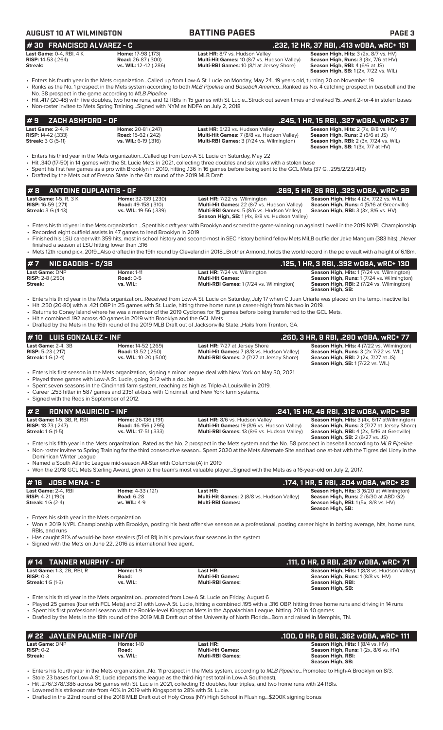|  |  | JGUST 10 AT WILMINGTON |  |
|--|--|------------------------|--|
|--|--|------------------------|--|

| <b>AUGUST 10 AT WILMINGTON</b>                                                      |                                                                                                                                                                           | <b>BATTING PAGES</b>                                                                                                                                                                                                                                                                                                                                                                                                                                                                                                                          | <b>PAGE 3</b>                                                                                                                                                                          |
|-------------------------------------------------------------------------------------|---------------------------------------------------------------------------------------------------------------------------------------------------------------------------|-----------------------------------------------------------------------------------------------------------------------------------------------------------------------------------------------------------------------------------------------------------------------------------------------------------------------------------------------------------------------------------------------------------------------------------------------------------------------------------------------------------------------------------------------|----------------------------------------------------------------------------------------------------------------------------------------------------------------------------------------|
| #30 FRANCISCO ALVAREZ - C                                                           |                                                                                                                                                                           |                                                                                                                                                                                                                                                                                                                                                                                                                                                                                                                                               | .232, 12 HR, 37 RBI, .413 wOBA, wRC+ 151                                                                                                                                               |
| <b>Last Game: 0-4, RBI, 4K</b><br><b>RISP:</b> 14-53 (.264)<br><b>Streak:</b>       | Home: 17-98 (.173)<br><b>Road:</b> 26-87 (.300)<br>vs. WIL: 12-42 (.286)                                                                                                  | Last HR: 8/7 vs. Hudson Valley<br>Multi-Hit Games: 10 (8/7 vs. Hudson Valley)<br>Multi-RBI Games: 10 (8/1 at Jersey Shore)                                                                                                                                                                                                                                                                                                                                                                                                                    | Season High, Hits: 3 (2x, 8/7 vs. HV)<br>Season High, Runs: 3 (3x, 7/6 at HV)<br>Season High, RBI: 4 (6/6 at JS)<br><b>Season High, SB:</b> 1(2x, 7/22 vs. WIL)                        |
|                                                                                     | No. 38 prospect in the game according to MLB Pipeline                                                                                                                     | • Enters his fourth year in the Mets organizationCalled up from Low-A St. Lucie on Monday, May 2419 years old, turning 20 on November 19<br>• Ranks as the No. 1 prospect in the Mets system according to both MLB Pipeline and Baseball AmericaRanked as No. 4 catching prospect in baseball and the                                                                                                                                                                                                                                         |                                                                                                                                                                                        |
|                                                                                     | • Non-roster invitee to Mets Spring TrainingSigned with NYM as NDFA on July 2, 2018                                                                                       | • Hit .417 (20-48) with five doubles, two home runs, and 12 RBIs in 15 games with St. LucieStruck out seven times and walked 15went 2-for-4 in stolen bases                                                                                                                                                                                                                                                                                                                                                                                   |                                                                                                                                                                                        |
| ZACH ASHFORD - OF<br>#9                                                             |                                                                                                                                                                           |                                                                                                                                                                                                                                                                                                                                                                                                                                                                                                                                               | .245, 1 HR, 15 RBI, .327 wOBA, wRC+ 97                                                                                                                                                 |
| Last Game: 2-4. R<br><b>RISP:</b> 14-42 (.333)<br><b>Streak:</b> 3 G (5-11)         | Home: 20-81 (.247)<br><b>Road: 15-62 (.242)</b><br>vs. WIL: 6-19 (.316)                                                                                                   | Last HR: 5/23 vs. Hudson Valley<br>Multi-Hit Games: 7 (8/8 vs. Hudson Valley)<br>Multi-RBI Games: 3 (7/24 vs. Wilmington)                                                                                                                                                                                                                                                                                                                                                                                                                     | Season High, Hits: 2 (7x, 8/8 vs. HV)<br>Season High, Runs: 2 (6/6 at JS)<br><b>Season High, RBI:</b> 2 (3x, 7/24 vs. WIL)<br><b>Season High, SB: 1 (3x, 7/7 at HV)</b>                |
|                                                                                     | • Drafted by the Mets out of Fresno State in the 6th round of the 2019 MLB Draft                                                                                          | Enters his third year in the Mets organizationCalled up from Low-A St. Lucie on Saturday, May 22 •<br>• Hit .340 (17-50) in 14 games with the St. Lucie Mets in 2021, collecting three doubles and six walks with a stolen base<br>• Spent his first few games as a pro with Brooklyn in 2019, hitting .136 in 16 games before being sent to the GCL Mets (37 G, .295/2/23/.413)                                                                                                                                                              |                                                                                                                                                                                        |
| #8<br><b>ANTOINE DUPLANTIS - OF</b>                                                 |                                                                                                                                                                           |                                                                                                                                                                                                                                                                                                                                                                                                                                                                                                                                               | .269, 5 HR, 26 RBI, .323 wOBA, wRC+ 99                                                                                                                                                 |
| Last Game: 1-5, R, 3 K<br><b>RISP:</b> 16-59 (.271)<br><b>Streak:</b> 3 G (4-13)    | Home: 32-139 (.230)<br><b>Road: 49-158 (.310)</b><br>vs. WIL: 19-56 (.339)                                                                                                | Last HR: 7/22 vs. Wilmington<br>Multi-Hit Games: 22 (8/7 vs. Hudson Valley)<br>Multi-RBI Games: 5 (8/6 vs. Hudson Valley)<br>Season High, SB: 1 (4x, 8/8 vs. Hudson Valley)                                                                                                                                                                                                                                                                                                                                                                   | Season High, Hits: 4 (2x, 7/22 vs. WIL)<br>Season High, Runs: 4 (5/16 at Greenville)<br>Season High, RBI: 3 (3x, 8/6 vs. HV)                                                           |
|                                                                                     | • Recorded eight outfield assists in 47 games to lead Brooklyn in 2019                                                                                                    | · Enters his third year in the Mets organization Spent his draft year with Brooklyn and scored the game-winning run against Lowell in the 2019 NYPL Championship<br>• Finished his LSU career with 359 hits, most in school history and second-most in SEC history behind fellow Mets MiLB outfielder Jake Mangum (383 hits)Never                                                                                                                                                                                                             |                                                                                                                                                                                        |
| finished a season at LSU hitting lower than .316                                    |                                                                                                                                                                           | • Mets 12th round pick, 2019Also drafted in the 19th round by Cleveland in 2018Brother Armond, holds the world record in the pole vault with a height of 6.18m.                                                                                                                                                                                                                                                                                                                                                                               |                                                                                                                                                                                        |
| <b>NIC GADDIS - C/3B</b><br>#7                                                      |                                                                                                                                                                           |                                                                                                                                                                                                                                                                                                                                                                                                                                                                                                                                               | .125, 1 HR, 3 RBI, .392 wOBA, wRC+ 130                                                                                                                                                 |
| Last Game: DNP<br>RISP: 2-8 (.250)<br>Streak:                                       | <b>Home: 1-11</b><br><b>Road: 0-5</b><br>vs. WIL:                                                                                                                         | Last HR: 7/24 vs. Wilmington<br><b>Multi-Hit Games:</b><br>Multi-RBI Games: 1 (7/24 vs. Wilmington)                                                                                                                                                                                                                                                                                                                                                                                                                                           | Season High, Hits: 1 (7/24 vs. Wilmington)<br>Season High, Runs: 1 (7/24 vs. Wilmington)<br>Season High, RBI: 2 (7/24 vs. Wilmington)<br>Season High, SB:                              |
|                                                                                     | • Hit a combined .192 across 40 games in 2019 with Brooklyn and the GCL Mets                                                                                              | • Enters his third year in the Mets organizationReceived from Low-A St. Lucie on Saturday, July 17 when C Juan Uriarte was placed on the temp. inactive list<br>• Hit .250 (20-80) with a .421 OBP in 25 games with St. Lucie, hitting three home runs (a career-high) from his two in 2019.<br>• Returns to Coney Island where he was a member of the 2019 Cyclones for 15 games before being transferred to the GCL Mets.<br>• Drafted by the Mets in the 16th round of the 2019 MLB Draft out of Jacksonville StateHails from Trenton, GA. |                                                                                                                                                                                        |
| #10 LUIS GONZALEZ - INF                                                             |                                                                                                                                                                           |                                                                                                                                                                                                                                                                                                                                                                                                                                                                                                                                               | .260, 3 HR, 9 RBI, .290 w0BA, wRC+ 77                                                                                                                                                  |
| <b>Last Game: 2-4, 3B</b>                                                           | Home: 14-52 (.269)                                                                                                                                                        | Last HR: 7/27 at Jersey Shore                                                                                                                                                                                                                                                                                                                                                                                                                                                                                                                 | Season High, Hits: 4 (7/22 vs. Wilmington)                                                                                                                                             |
| <b>RISP:</b> 5-23 (.217)<br><b>Streak:</b> 1 G (2-4)                                | <b>Road: 13-52 (.250)</b><br>vs. WIL: 10-20 (.500)                                                                                                                        | Multi-Hit Games: 7 (8/8 vs. Hudson Valley)<br>Multi-RBI Games: 2 (7/27 at Jersey Shore)                                                                                                                                                                                                                                                                                                                                                                                                                                                       | Season High, Runs: 3 (2x 7/22 vs. WIL)<br>Season High, RBI: 2 (2x, 7/27 at JS)<br><b>Season High, SB: 1 (7/22 vs. WIL)</b>                                                             |
| • Signed with the Reds in September of 2012.                                        | • Played three games with Low-A St. Lucie, going 3-12 with a double<br>• Career .253 hitter in 587 games and 2,151 at-bats with Cincinnati and New York farm systems.     | • Enters his first season in the Mets organization, signing a minor league deal with New York on May 30, 2021.<br>Spent seven seasons in the Cincinnati farm system, reaching as high as Triple-A Louisville in 2019.                                                                                                                                                                                                                                                                                                                         |                                                                                                                                                                                        |
| #2<br><b>RONNY MAURICIO - INF</b>                                                   |                                                                                                                                                                           |                                                                                                                                                                                                                                                                                                                                                                                                                                                                                                                                               | .241, 15 HR, 46 RBI, .312 wOBA, wRC+ 92                                                                                                                                                |
| Last Game: 1-5, 3B, R, RBI<br><b>RISP: 18-73 (.247)</b><br><b>Streak:</b> 1 G (1-5) | Home: 26-136 (.191)<br><b>Road:</b> 46-156 (.295)<br>vs. WIL: 17-51 (.333)                                                                                                | Last HR: 8/6 vs. Hudson Valley<br>Multi-Hit Games: 19 (8/6 vs. Hudson Valley)<br>Multi-RBI Games: 13 (8/6 vs. Hudson Valley)                                                                                                                                                                                                                                                                                                                                                                                                                  | Season High, Hits: 3 (4x, 6/17 at Wilmington)<br>Season High, Runs: 3 (7/27 at Jersey Shore)<br>Season High, RBI: 4 (2x, 5/16 at Greeville)<br><b>Season High, SB: 2 (6/27 vs. JS)</b> |
| Dominican Winter League                                                             | • Named a South Atlantic League mid-season All-Star with Columbia (A) in 2019                                                                                             | • Enters his fifth year in the Mets organizationRated as the No. 2 prospect in the Mets system and the No. 58 prospect in baseball according to MLB Pipeline<br>• Non-roster invitee to Spring Training for the third consecutive seasonSpent 2020 at the Mets Alternate Site and had one at-bat with the Tigres del Licey in the                                                                                                                                                                                                             |                                                                                                                                                                                        |
|                                                                                     |                                                                                                                                                                           | • Won the 2018 GCL Mets Sterling Award, given to the team's most valuable playerSigned with the Mets as a 16-year-old on July 2, 2017.                                                                                                                                                                                                                                                                                                                                                                                                        |                                                                                                                                                                                        |
| $# 16$ JOSE MENA - C                                                                |                                                                                                                                                                           |                                                                                                                                                                                                                                                                                                                                                                                                                                                                                                                                               | .174, 1 HR, 5 RBI, .204 wOBA, wRC+ 23                                                                                                                                                  |
| Last Game: 2-4, RBI<br><b>RISP: 4-21 (.190)</b><br><b>Streak:</b> 1 G (2-4)         | Home: 4-33 (.121)<br><b>Road: 6-28</b><br>vs. WIL: 4-9                                                                                                                    | Last HR:<br>Multi-Hit Games: 2 (8/8 vs. Hudson Valley)<br><b>Multi-RBI Games:</b>                                                                                                                                                                                                                                                                                                                                                                                                                                                             | Season High, Hits: 3 (6/20 at Wilmington)<br>Season High, Runs: 2 (6/30 at ABD G2)<br>Season High, RBI: 1 (5x, 8/8 vs. HV)<br>Season High, SB:                                         |
| • Enters his sixth year in the Mets organization<br>RBIs, and runs                  |                                                                                                                                                                           | • Won a 2019 NYPL Championship with Brooklyn, posting his best offensive season as a professional, posting career highs in batting average, hits, home runs,                                                                                                                                                                                                                                                                                                                                                                                  |                                                                                                                                                                                        |
|                                                                                     | • Has caught 81% of would-be base stealers (51 of 81) in his previous four seasons in the system.<br>• Signed with the Mets on June 22, 2016 as international free agent. |                                                                                                                                                                                                                                                                                                                                                                                                                                                                                                                                               |                                                                                                                                                                                        |
| #14 TANNER MURPHY - OF                                                              |                                                                                                                                                                           |                                                                                                                                                                                                                                                                                                                                                                                                                                                                                                                                               | .111, O HR, O RBI, .297 wOBA, wRC+ 71                                                                                                                                                  |
| Last Game: 1-3, 2B, RBI, R<br>$RISP: 0-3$<br><b>Streak:</b> 1 G (1-3)               | <b>Home: 1-9</b><br>Road:<br>vs. WIL:                                                                                                                                     | Last HR:<br><b>Multi-Hit Games:</b><br><b>Multi-RBI Games:</b>                                                                                                                                                                                                                                                                                                                                                                                                                                                                                | Season High, Hits: 1 (8/8 vs. Hudson Valley)<br>Season High, Runs: 1 (8/8 vs. HV)<br>Season High, RBI:<br>Season High, SB:                                                             |
|                                                                                     |                                                                                                                                                                           | Enters his third year in the Mets organizationpromoted from Low-A St. Lucie on Friday, August 6<br>. Played 25 games (four with FCL Mets) and 21 with Low-A St. Lucie, hitting a combined .195 with a .316 OBP, hitting three home runs and driving in 14 runs<br>• Spent his first professional season with the Rookie-level Kingsport Mets in the Appalachian League, hitting. 201 in 40 games<br>• Drafted by the Mets in the 18th round of the 2019 MLB Draft out of the University of North FloridaBorn and raised in Memphis, TN.       |                                                                                                                                                                                        |
| # 22 JAYLEN PALMER - INF/OF                                                         |                                                                                                                                                                           |                                                                                                                                                                                                                                                                                                                                                                                                                                                                                                                                               | .100, 0 HR, 0 RBI, .362 w0BA, wRC+ 111                                                                                                                                                 |
| <b>Last Game: DNP</b>                                                               | <b>Home: 1-10</b>                                                                                                                                                         | Last HR:                                                                                                                                                                                                                                                                                                                                                                                                                                                                                                                                      | Season High, Hits: 1 (8/4 vs. HV)                                                                                                                                                      |
| <b>RISP: 0-2</b><br>Streak:                                                         | Road:<br>vs. WIL:                                                                                                                                                         | <b>Multi-Hit Games:</b><br><b>Multi-RBI Games:</b>                                                                                                                                                                                                                                                                                                                                                                                                                                                                                            | Season High, Runs: 1 (2x, 8/6 vs. HV)<br>Season High, RBI:<br>Season High, SB:                                                                                                         |

• Enters his fourth year in the Mets organization...No. 11 prospect in the Mets system, according to *MLB Pipeline*...Promoted to High-A Brooklyn on 8/3.

- Stole 23 bases for Low-A St. Lucie (departs the league as the third-highest total in Low-A Southeast).
- Hit .276/.378/.386 across 66 games with St. Lucie in 2021, collecting 13 doubles, four triples, and two home runs with 24 RBIs.
- Lowered his strikeout rate from 40% in 2019 with Kingsport to 28% with St. Lucie.
- Drafted in the 22nd round of the 2018 MLB Draft out of Holy Cross (NY) High School in Flushing...\$200K signing bonus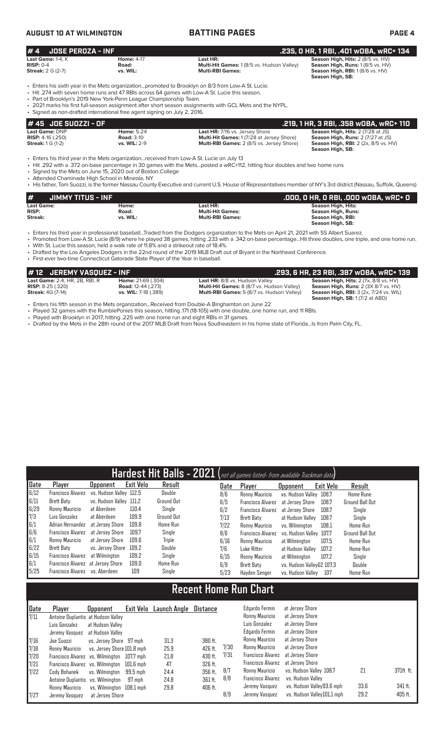## **AUGUST 10 AT WILMINGTON BATTING PAGES PAGE 4**

| $# 4$ JOSE PEROZA - INF                                                  |                                        |                                                                                   | .235, 0 HR, 1 RBI, .401 w0BA, wRC+ 134                                                                                                             |
|--------------------------------------------------------------------------|----------------------------------------|-----------------------------------------------------------------------------------|----------------------------------------------------------------------------------------------------------------------------------------------------|
| <b>Last Game:</b> 1-4. K<br><b>RISP: 0-4</b><br><b>Streak:</b> 2 G (2-7) | <b>Home: 4-17</b><br>Road:<br>vs. WIL: | Last HR:<br>Multi-Hit Games: 1 (8/5 vs. Hudson Valley)<br><b>Multi-RBI Games:</b> | <b>Season High, Hits: 2 (8/5 vs. HV)</b><br><b>Season High, Runs: 1 (8/5 vs. HV)</b><br><b>Season High, RBI:</b> 1(8/6 vs. HV)<br>Season High, SB: |

- Enters his sixth year in the Mets organization...promoted to Brooklyn on 8/3 from Low-A St. Lucie.
- Hit .274 with seven home runs and 47 RBIs across 64 games with Low-A St. Lucie this season.<br>• Part of Brooklyn's 2019 New York-Penn League Championship Team
- Part of Brooklyn's 2019 New York-Penn League Championship Team. • 2021 marks his first full-season assignment after short season assignments with GCL Mets and the NYPL.
- Signed as non-drafted international free agent signing on July 2, 2016.

| 1# 45   JOE SUOZZI - OF    |                   |                                                 | .219. 1 HR. 3 RBI. .358 WOBA. WRC+ 110      |
|----------------------------|-------------------|-------------------------------------------------|---------------------------------------------|
| <b>Last Game: DNP</b>      | <b>Home: 5-24</b> | <b>Last HR: 7/16 vs. Jersey Shore</b>           | <b>Season High, Hits: 2 (7/28 at JS)</b>    |
| <b>RISP:</b> $4-16$ (.250) | <b>Road: 3-10</b> | <b>Multi-Hit Games: 1(7/28 at Jersey Shore)</b> | <b>Season High, Runs: 2 (7/27 at JS)</b>    |
| <b>Streak:</b> 1 G (1-2)   | vs. WIL: 2-9      | Multi-RBI Games: 2 (8/5 vs. Jersey Shore)       | <b>Season High, RBI:</b> 2 (2x, 8/5 vs. HV) |
|                            |                   |                                                 | Season High, SB:                            |

• Enters his third year in the Mets organization...received from Low-A St. Lucie on July 13

• Hit .292 with a .372 on-base percentage in 30 games with the Mets...posted a wRC+112, hitting four doubles and two home runs

• Signed by the Mets on June 15, 2020 out of Boston College

• Attended Chaminade High School in Mineola, NY

• His father, Tom Suozzi, is the former Nassau County Executive and current U.S. House of Representatives member of NY's 3rd district (Nassau, Suffolk, Queens)

| #<br>JIMMY TITUS - INF |          |                         | .000, 0 HR, 0 RBI, .000 w0BA, wRC+ 0 |
|------------------------|----------|-------------------------|--------------------------------------|
| <b>Last Game:</b>      | Home:    | Last HR:                | <b>Season High, Hits:</b>            |
| <b>RISP:</b>           | Road:    | <b>Multi-Hit Games:</b> | <b>Season High, Runs:</b>            |
| Streak:                | vs. WIL: | <b>Multi-RBI Games:</b> | Season High, RBI:                    |
|                        |          |                         | Season High, SB:                     |

• Enters his third year in professional baseball...Traded from the Dodgers organization to the Mets on April 21, 2021 with SS Albert Suarez.

• Promoted from Low-A St. Lucie (8/9) where he played 38 games, hitting .233 with a .342 on-base percentage...Hit three doubles, one triple, and one home run.

• With St. Lucie this season, held a walk rate of 11.8% and a strikeout rate of 18.4%.

• Drafted by the Los Angeles Dodgers in the 22nd round of the 2019 MLB Draft out of Bryant in the Northeast Conference.

| $\bm{\#}$ 12 $\bm{\theta}$ JEREMY VASQUEZ - INF $\bm{\theta}$ |                             |                                                   | .293, 6 HR, 23 RBI, .387 wOBA, wRC+ 139       |
|---------------------------------------------------------------|-----------------------------|---------------------------------------------------|-----------------------------------------------|
| <b>Last Game: 2-4, HR, 2B, RBI, R</b>                         | <b>Home: 21-69 (.304)</b>   | <b>Last HR:</b> 8/8 vs. Hudson Valley             | Season High, Hits: 2 (7x, 8/8 vs. HV)         |
| <b>RISP:</b> 8-25 (.320)                                      | <b>Road:</b> 12-44 (.273)   | <b>Multi-Hit Games:</b> 8 (8/7 vs. Hudson Valley) | <b>Season High, Runs: 2 (3X 8/7 vs. HV)</b>   |
| <b>Streak:</b> 4G (7-14)                                      | <b>vs. WIL:</b> 7-18 (.389) | <b>Multi-RBI Games:</b> 5 (8/7 vs. Hudson Valley) | <b>Season High, RBI: 3 (2x, 7/24 vs. WIL)</b> |
|                                                               |                             |                                                   | <b>Season High, SB: 1 (7/2 at ABD)</b>        |

• Enters his fifth season in the Mets organization...Received from Double-A Binghamton on June 22

• Played 32 games with the RumblePonies this season, hitting .171 (18-105) with one double, one home run, and 11 RBIs.

• Played with Brooklyn in 2017, hitting .225 with one home run and eight RBIs in 31 games.

• Drafted by the Mets in the 28th round of the 2017 MLB Draft from Nova Southeastern in his home state of Florida...Is from Palm City, FL.

|      |                                   |                         |                  |                   |      | Hardest Hit Balls - 2021 (not all games listed- from available Trackman data) |                           |           |                        |
|------|-----------------------------------|-------------------------|------------------|-------------------|------|-------------------------------------------------------------------------------|---------------------------|-----------|------------------------|
| Date | Player                            | <b>Opponent</b>         | <b>Exit Velo</b> | Result            | Date | Player                                                                        | <b>Opponent</b>           | Exit Velo | Result                 |
| 6/12 | Francisco Alvarez                 | vs. Hudson Vallev 112.5 |                  | Double            | 8/6  | Ronny Mauricio                                                                | vs. Hudson Valley 108.7   |           | <b>Home Rune</b>       |
| 6/11 | Brett Baty                        | vs. Hudson Valley 111.2 |                  | <b>Ground Out</b> | 6/5  | Francisco Alvarez                                                             | at Jersey Shore           | 108.7     | <b>Ground Ball Out</b> |
| 6/29 | Ronny Mauricio                    | at Aberdeen             | 110.4            | Single            | 6/2  | <b>Francisco Alvarez</b>                                                      | at Jersev Shore           | 108.7     | Single                 |
| 7/3  | Luis Gonzalez                     | at Aberdeen             | 109.9            | Ground Out        | 7/13 | Brett Baty                                                                    | at Hudson Vallev          | 108.7     | Single                 |
| 6/1  | Adrian Hernandez                  | at Jersev Shore         | 109.8            | <b>Home Run</b>   | 7/22 | Ronny Mauricio                                                                | vs. Wilminaton            | 108.1     | Home Run               |
| 6/6  | Francisco Alvarez                 | at Jersev Shore         | 109.7            | Single            | 8/6  | Francisco Alvarez                                                             | vs. Hudson Valley 107.7   |           | Ground Ball Out        |
| 6/1  | Ronny Mauricio                    | at Jersev Shore         | 109.6            | Triple            | 6/16 | Ronny Mauricio                                                                | at Wilmington             | 107.5     | Home Run               |
| 6/22 | Brett Baty                        | vs. Jersey Shore        | 109.2            | Double            | 7/6  | Luke Ritter                                                                   | at Hudson Vallev          | 107.2     | Home Run               |
| 6/15 | Francisco Alvarez                 | at Wilmington           | 109.2            | Single            | 6/15 | Ronny Mauricio                                                                | at Wilmington             | 107.2     | Single                 |
| 6/1  | Francisco Alvarez at Jersey Shore |                         | 109.0            | <b>Home Run</b>   | 6/9  | Brett Baty                                                                    | vs. Hudson VallevG2 107.3 |           | Double                 |
| 5/25 | Francisco Alvarez vs. Aberdeen    |                         | 109              | Single            | 5/23 | Hayden Senger                                                                 | vs. Hudson Valley         | 107       | Home Run               |

# **Recent Home Run Chart**

| Date                                                | Plaver                                     | <b>Opponent</b>            |          | Exit Velo Launch Angle | Distance |      | Edgardo Fermin                    | at Jersey Shore            |      |           |
|-----------------------------------------------------|--------------------------------------------|----------------------------|----------|------------------------|----------|------|-----------------------------------|----------------------------|------|-----------|
| 7/11                                                | Antoine Duplantis at Hudson Valley         |                            |          |                        |          |      | Ronny Mauricio                    | at Jersey Shore            |      |           |
|                                                     | Luis Gonzalez                              | at Hudson Valley           |          |                        |          |      | Luis Gonzalez                     | at Jersey Shore            |      |           |
|                                                     | Jeremy Vasquez                             | at Hudson Vallev           |          |                        |          |      | Edgardo Fermin                    | at Jersey Shore            |      |           |
|                                                     | Joe Suozzi                                 | vs. Jersey Shore 97 mph    |          | 31.3                   | 380 ft.  |      | Ronny Mauricio                    | at Jersey Shore            |      |           |
|                                                     | Ronny Mauricio                             | vs. Jersey Shore 101.8 mph |          | 25.9                   | 426 ft.  | 7/30 | Ronny Mauricio                    | at Jersey Shore            |      |           |
| $\begin{array}{c} 7/16 \\ 7/18 \\ 7/20 \end{array}$ | Francisco Alvarez vs. Wilmington 107.7 mph |                            |          | 21.8                   | 430 ft.  | 7/31 | Francisco Alvarez                 | at Jersey Shore            |      |           |
| 7/21                                                | Francisco Alvarez vs. Wilmington 101.6 mph |                            |          | 47                     | 326 ft.  |      | Francisco Alvarez at Jersey Shore |                            |      |           |
| 7/22                                                | Cody Bohanek                               | vs. Wilmington             | 99.5 mph | 24.4                   | 356 ft.  | 8/7  | Ronny Mauricio                    | vs. Hudson Valley 108.7    | 21   | 371ft ft. |
|                                                     | Antoine Duplantis vs. Wilmington           |                            | 97 mph   | 24.8                   | 361 ft.  | 8/8  | Francisco Alvarez                 | vs. Hudson Valley          |      |           |
|                                                     | Ronny Mauricio                             | vs. Wilmington 108.1 mph   |          | 29.8                   | 406 ft.  |      | Jeremy Vasquez                    | vs. Hudson Valley93.6 mph  | 33.6 | 341 ft.   |
| 7/27                                                | Jeremy Vasquez                             | at Jersev Shore            |          |                        |          | 8/9  | Jeremy Vasquez                    | vs. Hudson Valley101.1 mph | 29.2 | 405 ft.   |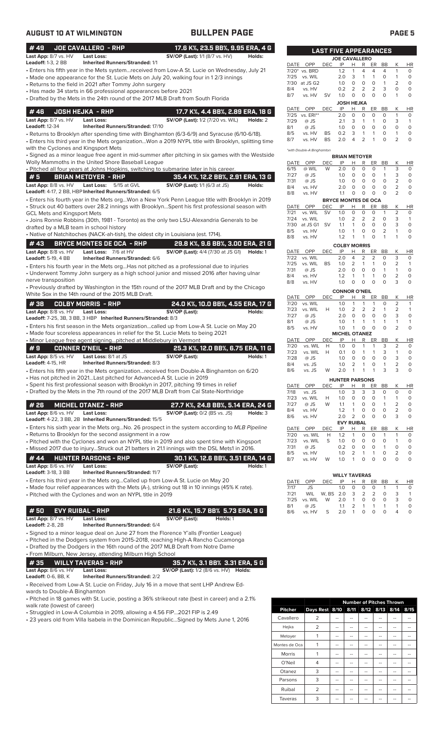| <b>AUGUST 10 AT WILMINGTON</b>                     |                                                                                                                                                                                                      | <b>BULLPEN PAGE</b>                                                          |          |              |                           |                 |                                  |                                                                  |                              |                         | PAGE <sub>5</sub>                |                           |
|----------------------------------------------------|------------------------------------------------------------------------------------------------------------------------------------------------------------------------------------------------------|------------------------------------------------------------------------------|----------|--------------|---------------------------|-----------------|----------------------------------|------------------------------------------------------------------|------------------------------|-------------------------|----------------------------------|---------------------------|
| #49                                                | JOE CAVALLERO - RHP                                                                                                                                                                                  | 17.6 K%, 23.5 BB%, 9.95 ERA, 4 G                                             |          |              |                           |                 | <b>LAST FIVE APPEARANCES</b>     |                                                                  |                              |                         |                                  |                           |
| Last App: 8/7 vs. HV                               | <b>Last Loss:</b>                                                                                                                                                                                    | <b>SV/OP (Last):</b> 1/1 (8/7 vs. HV)                                        | Holds:   |              |                           |                 | <b>JOE CAVALLERO</b>             |                                                                  |                              |                         |                                  |                           |
| <b>Leadoff: 1-3, 2 BB</b>                          | <b>Inherited Runners/Stranded: 1/1</b><br>• Enters his fifth year in the Mets systemreceived from Low-A St. Lucie on Wednesday, July 21                                                              |                                                                              |          |              | DATE OPP                  | DEC             | IP                               | н<br>R<br>$\mathbf{1}$<br>4                                      |                              | ER BB<br>$\overline{4}$ | Κ<br>$\mathbf{1}$                | <b>HR</b><br>$\circ$      |
|                                                    | • Made one appearance for the St. Lucie Mets on July 20, walking four in 12/3 innings                                                                                                                |                                                                              |          | 7/25         | 7/20* vs. BRD<br>vs. WIL  |                 | 1.2<br>2.0                       | 3<br>$\mathbf{1}$                                                | 4<br>$\mathbf{1}$            | $\circ$                 | $\mathbf{1}$                     | $\circ$                   |
|                                                    | • Returns to the field in 2021 after Tommy John surgery                                                                                                                                              |                                                                              |          |              | 7/30 at JS G2             |                 | 1.0                              | $\circ$<br>0                                                     | $\circ$                      | $\mathbf{1}$            | 2                                | $\circ$                   |
|                                                    | • Has made 34 starts in 66 professional appearances before 2021                                                                                                                                      |                                                                              |          | 8/4<br>8/7   | vs. HV<br>vs. HV          | <b>SV</b>       | 0.2<br>1.0                       | 2<br>2<br>$\circ$<br>$\mathsf O$                                 | 2<br>$\circ$                 | 3<br>$\circ$            | 0<br>$\mathbf{1}$                | $\circ$<br>$\circ$        |
|                                                    | • Drafted by the Mets in the 24th round of the 2017 MLB Draft from South Florida                                                                                                                     |                                                                              |          |              |                           |                 |                                  | <b>JOSH HEJKA</b>                                                |                              |                         |                                  |                           |
| #46                                                | <b>JOSH HEJKA - RHP</b>                                                                                                                                                                              | 17.7 K%, 4.4 BB%, 2.89 ERA, 18 G                                             |          | DATE<br>7/25 | OPP<br>vs. ERI**          | <b>DEC</b>      | IP<br>2.0                        | R<br>Н<br>$\circ$<br>0                                           | ER<br>$\circ$                | BB<br>$\circ$           | Κ<br>$\mathbf{1}$                | <b>HR</b><br>$\circ$      |
| Last App: 8/7 vs. HV                               | <b>Last Loss:</b>                                                                                                                                                                                    | <b>SV/OP (Last):</b> 1/2 (7/20 vs. WIL)                                      | Holds: 2 | 7/29         | $@$ JS                    |                 | 2.1                              | 3<br>$\mathbf{1}$                                                | $\mathbf{1}$                 | $\circ$                 | 3                                | $\overline{1}$            |
| <b>Leadoff: 12-34</b>                              | <b>Inherited Runners/Stranded: 17/10</b>                                                                                                                                                             |                                                                              |          | 8/1<br>8/5   | $@$ JS<br>vs. HV          | BS              | 1.0<br>0.2                       | $\circ$<br>0<br>3<br>$\mathbf{1}$                                | 0<br>$\mathbf{1}$            | $\circ$<br>$\circ$      | $\circ$<br>$\mathbf{1}$          | $\circ$<br>$\circ$        |
|                                                    | · Returns to Brooklyn after spending time with Binghamton (6/3-6/9) and Syracuse (6/10-6/18).<br>• Enters his third year in the Mets organizationWon a 2019 NYPL title with Brooklyn, splitting time |                                                                              |          | 8/7          | vs. HV                    | <b>BS</b>       | 2.0                              | 2<br>$\overline{4}$                                              | $\mathbf{1}$                 | $\circ$                 | $\overline{2}$                   | $\circ$                   |
| with the Cyclones and Kingsport Mets               |                                                                                                                                                                                                      |                                                                              |          |              | *with Double-A Binghamton |                 |                                  |                                                                  |                              |                         |                                  |                           |
|                                                    | • Signed as a minor league free agent in mid-summer after pitching in six games with the Westside                                                                                                    |                                                                              |          |              |                           |                 | <b>BRIAN METOYER</b>             |                                                                  |                              |                         |                                  |                           |
|                                                    | Wolly Mammoths in the United Shore Baseball League<br>. Pitched all four years at Johns Hopkins, switching to submarine later in his career.                                                         |                                                                              |          | DATE<br>6/15 | OPP<br>@ WIL              | <b>DEC</b><br>W | IP<br>2.0                        | Н<br>R<br>$\circ$<br>0                                           | ER<br>$\circ$                | BB<br>$\mathbf{1}$      | Κ<br>3                           | <b>HR</b><br>$\circ$      |
| # 5                                                | <b>BRIAN METOYER - RHP</b>                                                                                                                                                                           | 35.4 K%, 12.2 BB%, 2.91 ERA, 13 G                                            |          | 7/27         | @ JS                      |                 | 1.0                              | $\circ$<br>0                                                     | $\circ$                      | $\mathbf{1}$            | 3                                | $\circ$                   |
| Last App: 8/8 vs. HV                               | <b>Last Loss:</b><br>5/15 at GVL                                                                                                                                                                     | <b>SV/OP (Last):</b> 1/1 (6/3 at JS)                                         | Holds:   | 7/31<br>8/4  | @ JS<br>vs. HV            |                 | 1.0<br>2.0                       | $\circ$<br>$\circ$<br>$\circ$<br>$\circ$                         | $\circ$<br>$\circ$           | $\circ$<br>$\circ$      | $\overline{2}$<br>$\overline{2}$ | $\circ$<br>$\circ$        |
|                                                    | Leadoff: 4-17, 2 BB, HBP Inherited Runners/Stranded: 6/5                                                                                                                                             |                                                                              |          | 8/8          | vs. HV                    |                 | 1.1                              | $\circ$<br>$\circ$                                               | $\circ$                      | $\circ$                 | $\overline{2}$                   | $\circ$                   |
|                                                    | . Enters his fourth year in the Mets orgWon a New York Penn League title with Brooklyn in 2019<br>• Struck out 40 batters over 28.2 innings with BrooklynSpent his first professional season with    |                                                                              |          | DATE         | OPP                       | DEC             | <b>BRYCE MONTES DE OCA</b><br>IP | H<br>R                                                           | ER                           | BB                      | Κ                                | <b>HR</b>                 |
| <b>GCL Mets and Kingsport Mets</b>                 |                                                                                                                                                                                                      |                                                                              |          | 7/21         | vs. WIL                   | <b>SV</b>       | 1.0                              | $\circ$<br>0                                                     | $\circ$                      | $\mathbf{1}$            | $\overline{2}$                   | $\circ$                   |
|                                                    | • Joins Ronnie Robbins (30th, 1981 - Toronto) as the only two LSU-Alexandria Generals to be                                                                                                          |                                                                              |          | 7/24<br>7/30 | vs. WIL<br>at JS G1 SV    |                 | 1.0<br>1.1                       | 2<br>2<br>$\mathbf{1}$<br>$\circ$                                | 2<br>$\circ$                 | $\circ$<br>$\circ$      | 3<br>3                           | $\overline{1}$<br>$\circ$ |
| drafted by a MLB team in school history            | • Native of Natchitoches (NACK-ah-tish), the oldest city in Louisiana (est. 1714).                                                                                                                   |                                                                              |          | 8/5          | vs. HV                    |                 | 1.0                              | $\mathbf{1}$<br>$\circ$                                          | $\circ$                      | 2                       | 1                                | $\circ$                   |
|                                                    |                                                                                                                                                                                                      |                                                                              |          | 8/8          | vs. HV                    |                 | 1.2                              | $\mathbf{1}$<br>$\mathbf{1}$                                     | $\circ$                      | $\mathbf{1}$            | 1                                | $\circ$                   |
| #43<br>Last App: 8/8 vs. HV                        | <b>BRYCE MONTES DE OCA - RHP</b><br>Last Loss: 7/6 at HV                                                                                                                                             | 29.8 K%, 9.6 BB%, 3.00 ERA, 21 G<br><b>SV/OP (Last):</b> 4/4 (7/30 at JS G1) | Holds: 1 |              | DATE OPP                  | <b>DEC</b>      | <b>COLBY MORRIS</b><br>IP        | Н<br>R                                                           | ER                           | BB                      | Κ                                | HR                        |
| <b>Leadoff: 5-19, 4 BB</b>                         | <b>Inherited Runners/Stranded: 6/6</b>                                                                                                                                                               |                                                                              |          | 7/22         | vs. WIL                   |                 | 2.0                              | $\overline{4}$<br>2                                              | 2                            | $\circ$                 | 3                                | $\circ$                   |
|                                                    | • Enters his fourth year in the Mets org Has not pitched as a professional due to injuries                                                                                                           |                                                                              |          | 7/25<br>7/31 | vs. WIL<br>@ JS           | <b>BS</b>       | 1.0<br>2.0                       | 2<br>$\mathbf{1}$<br>$\mathsf O$<br>$\circ$                      | 1<br>$\circ$                 | $\circ$<br>$\mathbf{1}$ | 2<br>$\mathbf{1}$                | $\mathbf{1}$<br>$\circ$   |
|                                                    | • Underwent Tommy John surgery as a high school junior and missed 2016 after having ulnar                                                                                                            |                                                                              |          | 8/4          | vs. HV                    |                 | 1.2                              | $\mathbf{1}$<br>1                                                | $\mathbf{1}$                 | $\circ$                 | 2                                | $\circ$                   |
| nerve transposition                                | • Previously drafted by Washington in the 15th round of the 2017 MLB Draft and by the Chicago                                                                                                        |                                                                              |          | 8/8          | vs. HV                    |                 | 1.0                              | $\mathsf O$<br>$\circ$                                           | $\circ$                      | $\circ$                 | 3                                | $\circ$                   |
|                                                    | White Sox in the 14th round of the 2015 MLB Draft.                                                                                                                                                   |                                                                              |          | DATE         | OPP                       | <b>DEC</b>      | <b>CONNOR O'NEIL</b><br>IP       | н<br>R                                                           | ER                           | BB                      | Κ                                | <b>HR</b>                 |
| #38                                                | <b>COLBY MORRIS - RHP</b>                                                                                                                                                                            | 24.0 K%, 10.0 BB%, 4.55 ERA, 17 G                                            |          | 7/20         | vs. WIL                   |                 | 1.0                              | $\mathbf{1}$<br>1                                                | $\mathbf{1}$                 | $\circ$                 | 2                                | $\mathbf{1}$              |
| Last App: 8/8 vs. HV                               | <b>Last Loss:</b>                                                                                                                                                                                    | SV/OP (Last):                                                                | Holds:   | 7/23<br>7/27 | vs. WIL<br>@ JS           | H               | 1.0<br>2.0                       | 2<br>$\overline{2}$<br>$\mathsf O$<br>$\circ$                    | 2<br>$\mathsf O$             | $\mathbf{1}$<br>$\circ$ | 2<br>3                           | $\mathbf{1}$<br>$\circ$   |
|                                                    | Leadoff: 7-25, 3B, 3 BB, 3 HBP Inherited Runners/Stranded: 8/3                                                                                                                                       |                                                                              |          | 8/1          | @ JS                      |                 | 1.0                              | $\mathbf{1}$<br>$\mathbf{1}$                                     | $\mathbf{1}$                 | $\mathbf{1}$            | 1                                | $\mathbf{1}$              |
|                                                    | • Enters his first season in the Mets organizationcalled up from Low-A St. Lucie on May 20<br>• Made four scoreless appearances in relief for the St. Lucie Mets to being 2021                       |                                                                              |          | 8/5          | vs. HV                    |                 | 1.0<br><b>MICHEL OTANEZ</b>      | $\circ$<br>$\mathbf{1}$                                          | $\circ$                      | $\circ$                 | $\overline{2}$                   | $\circ$                   |
|                                                    | . Minor League free agent signingpitched at Middlebury in Vermont                                                                                                                                    |                                                                              |          | DATE         | OPP                       | DEC             | IP                               | н<br>R                                                           | ER                           | BB                      | Κ                                | <b>HR</b>                 |
| #9                                                 | <b>CONNER O'NEIL - RHP</b>                                                                                                                                                                           | 25.3 K%, 12.0 BB%, 6.75 ERA, 11 G                                            |          | 7/20<br>7/23 | vs. WIL<br>vs. WIL        | H<br>Н          | 1.0<br>0.1                       | $\circ$<br>$\mathbf{1}$<br>$\circ$<br>$\mathbf{1}$               | $\mathbf{1}$<br>$\mathbf{1}$ | 3<br>3                  | 2<br>1                           | $\circ$<br>$\circ$        |
| Last App: 8/5 vs. HV                               | Last Loss: 8/1 at JS                                                                                                                                                                                 | SV/OP (Last):                                                                | Holds: 1 | 7/28         | @ JS                      |                 | 1.0                              | 0<br>0                                                           | 0                            | 0                       | 3                                | 0                         |
| Leadoff: $4-15$ , $HR$                             | Inherited Runners/Stranded: 8/3<br>• Enters his fifth year in the Mets organizationreceived from Double-A Binghamton on 6/20                                                                         |                                                                              |          | 8/4<br>8/6   | vs. JS<br>vs. JS          | W               | 1.0<br>2.0                       | $\overline{2}$<br>$\mathbf{1}$<br>$\mathbf{1}$<br>$\overline{1}$ | 0<br>$\mathbf{1}$            | $\mathbf{1}$<br>3       | 2<br>3                           | 0<br>$\circ$              |
|                                                    | • Has not pitched in 2021Last pitched for Advanced-A St. Lucie in 2019                                                                                                                               |                                                                              |          |              |                           |                 | <b>HUNTER PARSONS</b>            |                                                                  |                              |                         |                                  |                           |
|                                                    | • Spent his first professional season with Brooklyn in 2017, pitching 19 times in relief                                                                                                             |                                                                              |          | DATE         | OPP                       | DEC             | IP                               | н<br>R                                                           | ER                           | BB                      | Κ                                | HR                        |
|                                                    | • Drafted by the Mets in the 7th round of the 2017 MLB Draft from Cal State-Northridge                                                                                                               |                                                                              |          | 7/18<br>7/23 | vs. JS<br>vs. WIL         | Н               | 1.0<br>1.0                       | 3<br>3<br>$\circ$<br>0                                           | 3<br>$\circ$                 | 0<br>$\mathbf{1}$       | 0<br>$\mathbf{1}$                | 0<br>$\circ$              |
| #26                                                | <b>MICHEL OTANEZ - RHP</b>                                                                                                                                                                           | 27.7 K%, 24.8 BB%, 5.14 ERA, 24 G                                            |          | 7/27         | @ JS                      | W               | 1.1                              | $\mathbf{1}$<br>0                                                | 0                            | $\mathbf{1}$            | 2                                | $\circ$                   |
| Last App: 8/6 vs. HV                               | <b>Last Loss:</b>                                                                                                                                                                                    | <b>SV/OP (Last): 0/2 (BS vs. JS)</b>                                         | Holds: 3 | 8/4<br>8/6   | vs. HV<br>vs. HV          |                 | 1.2<br>2.0                       | $\mathbf{1}$<br>0<br>$\overline{2}$<br>$\circ$                   | 0<br>0                       | $\circ$<br>$\circ$      | 2<br>3                           | 0<br>$\circ$              |
|                                                    | Leadoff: 4-22, 3 BB, 2B Inherited Runners/Stranded: 15/5                                                                                                                                             |                                                                              |          |              |                           |                 |                                  | <b>EVY RUIBAL</b>                                                |                              |                         |                                  |                           |
|                                                    | • Enters his sixth year in the Mets orgNo. 26 prospect in the system according to MLB Pipeline<br>• Returns to Brooklyn for the second assignment in a row                                           |                                                                              |          | DATE<br>7/20 | OPP<br>vs. WIL            | DEC<br>Н        | IP<br>1.2                        | н<br>R<br>$\mathbf{1}$<br>0                                      | 0                            | ER BB<br>$\overline{1}$ | К<br>$\mathbf{1}$                | HR<br>$\circ$             |
|                                                    | • Pitched with the Cyclones and won an NYPL title in 2019 and also spent time with Kingsport                                                                                                         |                                                                              |          | 7/23         | vs. WIL                   | S               | 1.0                              | $\circ$<br>0                                                     | 0                            | 0                       | 1                                | 0                         |
|                                                    | . Missed 2017 due to injuryStruck out 21 batters in 21.1 innings with the DSL Mets1 in 2016.                                                                                                         |                                                                              |          | 7/31<br>8/5  | @ JS<br>vs. HV            |                 | 0.2<br>1.0                       | $\circ$<br>0<br>$\overline{2}$<br>1                              | 0<br>$\mathbf{1}$            | $\mathbf{1}$<br>$\circ$ | 0<br>2                           | $\circ$<br>0              |
| # 44                                               | <b>HUNTER PARSONS - RHP</b>                                                                                                                                                                          | 30.1 K%, 12.6 BB%, 3.51 ERA, 14 G                                            |          | 8/7          | vs. HV                    | W               | 1.0                              | $\mathbf{1}$<br>0                                                | $\circ$                      | $\circ$                 | $\circ$                          | $\circ$                   |
| Last App: 8/6 vs. HV<br><b>Leadoff: 3-18, 3 BB</b> | <b>Last Loss:</b><br><b>Inherited Runners/Stranded: 11/7</b>                                                                                                                                         | SV/OP (Last):                                                                | Holds: 1 |              |                           |                 |                                  |                                                                  |                              |                         |                                  |                           |
|                                                    | • Enters his third year in the Mets orgCalled up from Low-A St. Lucie on May 20                                                                                                                      |                                                                              |          | DATE         | OPP                       | <b>DEC</b>      | <b>WILLY TAVERAS</b><br>IP       | н<br>R                                                           | ER                           | BB                      | Κ                                | <b>HR</b>                 |
|                                                    | • Made four relief appearances with the Mets (A-), striking out 18 in 10 innings (45% K rate).                                                                                                       |                                                                              |          | 7/17         | JS                        |                 | 1.0                              | 0<br>0                                                           | 0                            | $\mathbf{1}$            | 1                                | 0                         |
|                                                    | • Pitched with the Cyclones and won an NYPL title in 2019                                                                                                                                            |                                                                              |          | 7/21<br>7/25 | <b>WIL</b><br>vs. WIL     | W, BS 2.0<br>W  | 2.0                              | 3<br>$\overline{2}$<br>$\circ$<br>$\mathbf{1}$                   | 2<br>$\circ$                 | 0<br>$\circ$            | 3<br>3                           | $\mathbf{1}$<br>$\circ$   |
|                                                    |                                                                                                                                                                                                      |                                                                              |          | 8/1          | @ JS                      |                 | 1.1                              | $\overline{2}$<br>$\mathbf{1}$                                   | $\mathbf{1}$                 | $\mathbf{1}$            | $\mathbf{1}$                     | 0                         |
| #50<br>Last App: 8/7 vs. HV                        | <b>EVY RUIBAL - RHP</b><br><b>Last Loss:</b>                                                                                                                                                         | 21.6 K%, 15.7 BB% 5.73 ERA, 9 G<br>SV/OP (Last):<br>Holds: 1                 |          | 8/6          | vs. HV                    | S               | 2.0                              | $\overline{1}$<br>$\circ$                                        | $\circ$                      | $\circ$                 | 4                                | $\circ$                   |
| <b>Leadoff: 2-8, 2B</b>                            | <b>Inherited Runners/Stranded: 6/4</b>                                                                                                                                                               |                                                                              |          |              |                           |                 |                                  |                                                                  |                              |                         |                                  |                           |
|                                                    | • Signed to a minor league deal on June 27 from the Florence Y'alls (Frontier League)                                                                                                                |                                                                              |          |              |                           |                 |                                  |                                                                  |                              |                         |                                  |                           |
|                                                    | • Pitched in the Dodgers system from 2015-2018, reaching High-A Rancho Cucamonga                                                                                                                     |                                                                              |          |              |                           |                 |                                  |                                                                  |                              |                         |                                  |                           |
|                                                    | • Drafted by the Dodgers in the 16th round of the 2017 MLB Draft from Notre Dame<br>• From Milburn, New Jersey, attending Milburn High School                                                        |                                                                              |          |              |                           |                 |                                  |                                                                  |                              |                         |                                  |                           |
| #35                                                | <b>WILLY TAVERAS - RHP</b>                                                                                                                                                                           | 35.7 K%, 3.1 BB% 3.31 ERA, 5 G                                               |          |              |                           |                 |                                  |                                                                  |                              |                         |                                  |                           |
| Last App: 8/6 vs. HV                               | <b>Last Loss:</b>                                                                                                                                                                                    | <b>SV/OP (Last):</b> 1/2 (8/6 vs. HV) <b>Holds:</b>                          |          |              |                           |                 |                                  |                                                                  |                              |                         |                                  |                           |
| <b>Leadoff:</b> $0-6$ , $BB$ , $K$                 | <b>Inherited Runners/Stranded: 2/2</b><br><b>CONTRACT</b>                                                                                                                                            |                                                                              |          |              |                           |                 |                                  |                                                                  |                              |                         |                                  |                           |

• Received from Low-A St. Lucie on Friday, July 16 in a move that sent LHP Andrew Edwards to Double-A Binghamton

• Pitched in 18 games with St. Lucie, posting a 36% strikeout rate (best in career) and a 2.1% walk rate (lowest of career)

• Struggled in Low-A Columbia in 2019, allowing a 4.56 FIP...2021 FIP is 2.49

• 23 years old from Villa Isabela in the Dominican Republic...Signed by Mets June 1, 2016

|                |                |    |    | <b>Number of Pitches Thrown</b> |    |      |
|----------------|----------------|----|----|---------------------------------|----|------|
| <b>Pitcher</b> | Days Rest 8/10 |    |    | 8/11 8/12 8/13 8/14             |    | 8/15 |
| Cavallero      | 2              |    |    |                                 |    |      |
| Hejka          | $\overline{2}$ |    | -- |                                 |    |      |
| Metoyer        |                |    |    |                                 |    |      |
| Montes de Oca  |                |    |    |                                 |    |      |
| <b>Morris</b>  |                |    |    |                                 |    |      |
| O'Neil         | 4              |    |    |                                 |    |      |
| Otanez         | 3              | -- | -- |                                 | -- |      |
| Parsons        | 3              |    |    |                                 |    |      |
| Ruibal         | $\overline{2}$ |    |    |                                 |    |      |
| Taveras        | 3              |    |    |                                 |    |      |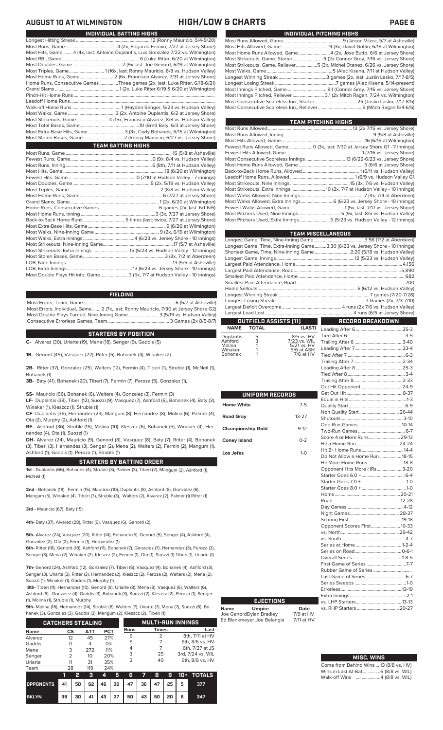|                 | Most Hits, Game4 (4x, last: Antoine Duplantis, Luis Gonzalez 7/22 vs. Wilmington) |
|-----------------|-----------------------------------------------------------------------------------|
|                 |                                                                                   |
|                 |                                                                                   |
|                 | Most Triples, Game 1(16x, last: Ronny Mauricio, 8/8 vs. Hudson Valley)            |
|                 |                                                                                   |
|                 | Home Runs, Consecutive Games Three games (2x, last: Luke Ritter, 6/18-6/21)       |
|                 |                                                                                   |
|                 |                                                                                   |
|                 |                                                                                   |
|                 |                                                                                   |
|                 |                                                                                   |
|                 | Most Strikeouts, Game4 (15x, Francisco Alvarez, 8/8 vs. Hudson Valley)            |
|                 |                                                                                   |
|                 | Most Extra-Base Hits, Game 3 (3x, Cody Bohanek, 6/15 at Wilmington)               |
|                 |                                                                                   |
|                 | <b>TEAM BATTING HIGHS</b>                                                         |
|                 |                                                                                   |
| Fowet Dune Camo | 0.0 v 2/4 vs Hudson Vallout                                                       |

**INDIVIDUAL BATTING HIGHS**

## **FIELDING**

Most Errors, Team, Game...............................................................................6 (5/7 at Asheville) Most Errors, Individual, Game....... 2 (7x, last: Ronny Mauricio, 7/30 at Jersey Shore G2) Most Double Plays Turned, Nine-Inning Game.......................... 3 (5/19 vs. Hudson Valley) Consecutive Errorless Games, Team...

## **STARTERS BY POSITION**

**C-** Alvarez (30), Uriarte (19), Mena (18), Senger (9), Gaddis (5)

**1B-** Genord (49), Vasquez (22), Ritter (5), Bohanek (4), Winaker (2)

**2B-** Ritter (37), Gonzalez (25), Walters (12), Fermin (4), Tiberi (1), Struble (1), McNeil (1), Bohanek (1)

**3B-** Baty (41), Bohanek (20), Tiberi (7), Fermin (7), Peroza (5), Gonzalez (1),

**SS-** Mauricio (66), Bohanek (6), Walters (4), Gonzalez (3), Fermin (3)

**LF-** Duplantis (38), Tiberi (12), Suozzi (9), Vasquez (7), Ashford (6), Bohanek (4), Baty (3), Winaker (1), Kleszcz (1), Struble (1)

**CF-** Duplantis (36), Hernandez (23), Mangum (8), Hernandez (8), Molina (6), Palmer (4), Ota (2), Murphy (2), Ashford (1)

**RF-** Ashford (36), Struble (15), Molina (10), Kleszcz (6), Bohanek (5), Winaker (4), Hernandez (4), Ota (1), Suozzi (1)

**DH-** Alvarez (24), Mauricio (9), Genord (8), Vasquez (8), Baty (7), Ritter (4), Bohanek (3), Tiberi (3), Hernandez (3), Senger (2), Mena (2), Walters (2), Fermin (2), Mangum (1), Ashford (1), Gaddis (1), Peroza (1), Struble (1)

## **STARTERS BY BATTING ORDER**

**1st -** Duplantis (66), Bohanek (4), Struble (3), Palmer (3), Tiberi (2), Mangum (2), Ashford (1), McNeil (1)

**2nd -** Bohanek (18), Fermin (15), Mauricio (10), Duplantis (8), Ashford (6), Gonzalez (6), Mangum (5), Winaker (4), Tiberi (3), Struble (3), Walters (2), Alvarez (2), Palmer (1) Ritter (1)

**3rd -** Mauricio (67), Baty (15)

**4th-** Baty (37), Alvarez (28), Ritter (9), Vasquez (6), Genord (2)

**5th-** Alvarez (24), Vasquez (20), Ritter (14), Bohanek (5), Genord (5), Senger (4), Ashford (4), Gonzalez (2), Ota (2), Fermin (1), Hernandez (1)

**6th-** Ritter (18), Genord (18), Ashford (11), Bohanek (7), Gonzalez (7), Hernandez (3), Peroza (3), Senger (3), Mena (2), Winaker (2), Kleszcz (2), Fermin (1), Ota (1), Suozzi (1) Tiberi (1), Uriarte (1)

**7th-** Genord (24), Ashford (12), Gonzalez (7), Tiberi (5), Vasquez (4), Bohanek (4), Ashford (3), Senger (3), Uriarte (3), Ritter (3), Hernandez (2), Kleszcz (2), Peroza (2), Walters (2), Mena (2), Suozzi (1), Winaker (1), Gaddis (1), Murphy (1)

**8th-** Tiberi (11), Hernandez (10), Genord (9), Uriarte (8), Mena (8), Vasquez (6), Walters (6), Ashford (6), Gonzalez (4), Gaddis (3), Bohanek (3), Suozzi (2), Kleszcz (2), Peroza (1), Senger (1), Molina (1), Struble (1), Murphy

**9th-** Molina (16), Hernandez (14), Struble (8), Walters (7), Uriarte (7), Mena (7), Suozzi (6), Boek (3), Gonzalez (3), Gaddis (3), Mangum (2), Kleszcz (2), Tiberi (1)

|             | <b>CATCHERS STEALING</b> |     |            |             |              | <b>MULTI-RUN INNINGS</b> |
|-------------|--------------------------|-----|------------|-------------|--------------|--------------------------|
| <b>Name</b> | CS                       | АТТ | <b>PCT</b> | <b>Runs</b> | <b>Times</b> | Last                     |
| Alvarez     | 12                       | 45  | 27%        | 6           |              | 8th, 7/11 at HV          |
| Gaddis      | Ο                        | 4   | 0%         | 5           |              | 6th, 8/6 vs. HV          |
| Mena        | 3                        | 272 | 11%        | 4           |              | 6th, 7/27 at JS          |
| Senger      | 2                        | 10  | 20%        | 3           | 25           | 3rd, 7/24 vs. WIL        |
| Uriarte     | 11                       | 31  | 35%        | 2           | 49           | 9th, 8/8 vs. HV          |
| Team        | 28                       | 119 | 24%        |             |              |                          |

|                                        |    | - 2 |  |                           |  |  | $3$ 4 5 6 7 8 9 10 + TOTALS |
|----------------------------------------|----|-----|--|---------------------------|--|--|-----------------------------|
| OPPONENTS 41 50 62 46 36 47 36 47 25 5 |    |     |  |                           |  |  | 377                         |
| <b>BKLYN</b>                           | 39 |     |  | 30 41 43 37 50 43 50 20 6 |  |  | 347                         |

## **AUGUST 10 AT WILMINGTON HIGH/LOW & CHARTS PAGE 6**

| INDIVIDUAL PITCHING HIGHS                                                   |
|-----------------------------------------------------------------------------|
|                                                                             |
|                                                                             |
|                                                                             |
|                                                                             |
| Most Strikeouts, Game, Reliever5 (3x, Michel Otanez, 6/26 vs. Jersey Shore) |
|                                                                             |
|                                                                             |
|                                                                             |
|                                                                             |
|                                                                             |
|                                                                             |
|                                                                             |

| <b>TEAM PITCHING HIGHS</b>                                                  |  |
|-----------------------------------------------------------------------------|--|
|                                                                             |  |
|                                                                             |  |
|                                                                             |  |
| Fewest Runs Allowed, Game 0 (3x, last: 7/30 at Jersey Shore G1 - 7 innings) |  |
|                                                                             |  |
|                                                                             |  |
|                                                                             |  |
|                                                                             |  |
|                                                                             |  |
|                                                                             |  |
| Most Strikeouts, Extra Innings  10 (2x, 7/7 at Hudson Valley - 10 innings)  |  |
|                                                                             |  |
|                                                                             |  |
|                                                                             |  |
|                                                                             |  |
| Most Pitchers Used, Extra Innings5 (5/23 vs. Hudson Valley - 12 innings)    |  |

|                                                                                | <b>TEAM MISCELLANEOUS</b> |
|--------------------------------------------------------------------------------|---------------------------|
|                                                                                |                           |
| Longest Game, Time, Extra-Inning Game3:30 (6/23 vs. Jersey Shore - 10 innings) |                           |
| Shortest Game, Time, Nine-Inning Game  2:20 (5/18 vs. Hudson Valley)           |                           |
|                                                                                |                           |
|                                                                                |                           |
|                                                                                |                           |
|                                                                                |                           |
|                                                                                |                           |
|                                                                                |                           |
|                                                                                |                           |
|                                                                                |                           |
|                                                                                |                           |
|                                                                                |                           |
| <b>OUTFIELD ASSISTS (11)</b>                                                   | RECORD BREAKDOWN          |

| <b>NAME</b>          | <b>TOTAL</b> | (LAST)                       |
|----------------------|--------------|------------------------------|
| Duplantis<br>Ashford | 5<br>3       | 8/5 vs. HV<br>7/23 vs. WIL   |
| Molina<br>$\cdots$   |              | 5/21 vs. HV<br>$-10 - 10011$ |

| 5/6 at ASH  |
|-------------|
| $7/6$ at HV |
|             |
|             |

| UNIFORM RECORDS          |           |  |
|--------------------------|-----------|--|
| <b>Home White</b>        | $7 - 5$   |  |
| <b>Road Gray</b>         | $13 - 27$ |  |
| <b>Championship Gold</b> | $9 - 12$  |  |
| <b>Coney Island</b>      | $0 - 2$   |  |
| Los Jefes                | $1-0$     |  |
|                          |           |  |
|                          |           |  |
|                          |           |  |
|                          |           |  |
|                          |           |  |
|                          |           |  |
|                          |           |  |
|                          |           |  |
|                          |           |  |
|                          |           |  |

**Name Umpire Date** Joe GenordDylan Bradley 7/9 at HV Ed Blankmeyer Joe Belangia 7/11 at HV

**EJECTIONS**

| Non Quality Start 26-44       |  |
|-------------------------------|--|
|                               |  |
|                               |  |
|                               |  |
| Score 4 or More Runs 29-13    |  |
|                               |  |
|                               |  |
| Do Not Allow a Home Run 18-15 |  |
| Hit More Home Runs 18-8       |  |
| Opponent Hits More HRs3-20    |  |
|                               |  |
|                               |  |
|                               |  |
|                               |  |
|                               |  |
|                               |  |
|                               |  |
|                               |  |
| Opponent Scores First 10-33   |  |
|                               |  |
|                               |  |
|                               |  |
|                               |  |
|                               |  |
|                               |  |
|                               |  |
| Last Game of Series  6-7      |  |
|                               |  |
|                               |  |
|                               |  |
|                               |  |
|                               |  |
|                               |  |

# **MISC. WINS**

Come from Behind Wins ... 13 (8/8 vs. HV)<br>Wins in Last At-Bat................6 (8/8 vs. WIL) Wins in Last At-Bat....... Walk-off Wins .....................4 (8/8 vs. WIL)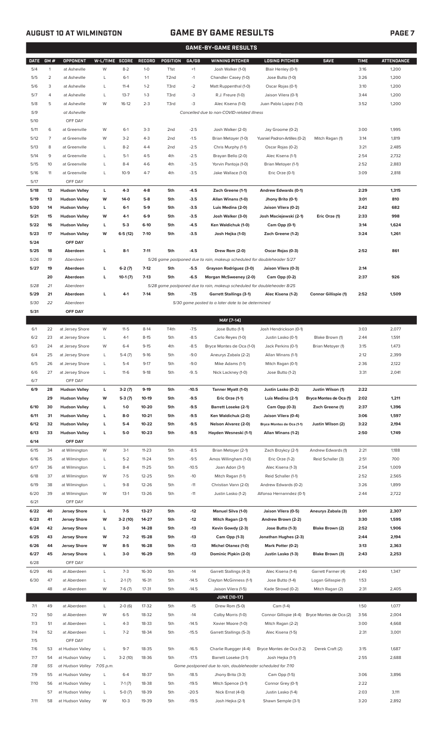## **AUGUST 10 AT WILMINGTON GAME BY GAME RESULTS**

|             |                |                      |                |           |               |                   |         | <b>GAME-BY-GAME RESULTS</b>                                             |                               |                             |             |                   |
|-------------|----------------|----------------------|----------------|-----------|---------------|-------------------|---------|-------------------------------------------------------------------------|-------------------------------|-----------------------------|-------------|-------------------|
| <b>DATE</b> | GM#            | <b>OPPONENT</b>      | W-L/TIME SCORE |           | <b>RECORD</b> | <b>POSITION</b>   | GA/GB   | <b>WINNING PITCHER</b>                                                  | <b>LOSING PITCHER</b>         | <b>SAVE</b>                 | <b>TIME</b> | <b>ATTENDANCE</b> |
| 5/4         | $\mathbf{1}$   | at Asheville         | W              | $8-2$     | $1-0$         | T <sub>1st</sub>  | $+1$    | Josh Walker (1-0)                                                       | Blair Henley (0-1)            |                             | 3:16        | 1,200             |
| 5/5         | $\overline{2}$ | at Asheville         | L              | $6-1$     | $1 - 1$       | T <sub>2</sub> nd | $-1$    | Chandler Casey (1-0)                                                    | Jose Butto (1-0)              |                             | 3:26        | 1,200             |
| 5/6         | 3              | at Asheville         | L              | $11 - 4$  | $1 - 2$       | T3rd              | $-2$    | Matt Ruppenthal (1-0)                                                   | Oscar Rojas (0-1)             |                             | 3:10        | 1,200             |
|             |                |                      |                |           |               |                   |         |                                                                         |                               |                             |             |                   |
| 5/7         | 4              | at Asheville         | L              | $13 - 7$  | $1 - 3$       | T3rd              | -3      | R.J. Freure (1-0)                                                       | Jaison Vilera (0-1)           |                             | 3:44        | 1,200             |
| 5/8         | 5              | at Asheville         | W              | $16-12$   | $2 - 3$       | T3rd              | $-3$    | Alec Kisena (1-0)                                                       | Juan Pablo Lopez (1-0)        |                             | 3:52        | 1,200             |
| 5/9         |                | at Asheville         |                |           |               |                   |         | Cancelled due to non-COVID-related illness                              |                               |                             |             |                   |
| 5/10        |                | OFF DAY              |                |           |               |                   |         |                                                                         |                               |                             |             |                   |
| 5/11        | 6              | at Greenville        | W              | $6-1$     | $3-3$         | 2 <sub>nd</sub>   | $-2.5$  | Josh Walker (2-0)                                                       | Jay Groome (0-2)              |                             | 3:00        | 1,995             |
| 5/12        | $\overline{7}$ | at Greenville        | W              | $3 - 2$   | $4 - 3$       | 2 <sub>nd</sub>   | $-1.5$  | Brian Metoyer (1-0)                                                     | Yusniel Padron-Artilles (0-2) | Mitch Ragan (1)             | 3:14        | 1,819             |
| 5/13        | 8              | at Greenville        | L              | $8 - 2$   | $4 - 4$       | 2 <sub>nd</sub>   | $-2.5$  | Chris Murphy (1-1)                                                      | Oscar Rojas (0-2)             |                             | 3:21        | 2,485             |
| 5/14        | 9              | at Greenville        | L              | $5-1$     | $4 - 5$       | 4th               | $-2.5$  | Brayan Bello (2-0)                                                      | Alec Kisena (1-1)             |                             | 2:54        | 2,732             |
| 5/15        | 10             | at Greenville        | L              | $8 - 4$   | $4-6$         | 4th               | $-3.5$  | Yorvin Pantoja (1-0)                                                    | Brian Metoyer (1-1)           |                             | 2:52        | 2,883             |
| 5/16        | 11             | at Greenville        | L              | $10-9$    | $4 - 7$       | 4th               | $-3.5$  | Jake Wallace (1-0)                                                      | Eric Orze (0-1)               |                             | 3:09        | 2,818             |
| 5/17        |                | OFF DAY              |                |           |               |                   |         |                                                                         |                               |                             |             |                   |
| 5/18        | 12             | <b>Hudson Valley</b> | L              | $4-3$     | $4 - 8$       | 5th               | $-4.5$  | Zach Greene (1-1)                                                       | Andrew Edwards (0-1)          |                             | 2:29        | 1,315             |
| 5/19        | 13             | <b>Hudson Valley</b> | W              | $14-0$    | $5-8$         | 5th               | $-3.5$  | Allan Winans (1-0)                                                      | Jhony Brito (0-1)             |                             | 3:01        | 810               |
| 5/20        | 14             | <b>Hudson Valley</b> | L              | $6-1$     | $5-9$         | 5th               | $-3.5$  | Luis Medina (2-0)                                                       | Jaison Vilera (0-2)           |                             | 2:42        | 682               |
| 5/21        | 15             | <b>Hudson Valley</b> | W              | 4-1       | $6-9$         | 5th               | $-3.5$  | Josh Walker (3-0)                                                       | Josh Maciejewski (2-1)        | Eric Orze (1)               | 2:33        | 998               |
| 5/22        | 16             | <b>Hudson Valley</b> | L              | $5-3$     | $6-10$        | 5th               | $-4.5$  | Ken Waldichuk (1-0)                                                     |                               |                             | 3:14        | 1,624             |
|             |                |                      |                |           |               |                   |         |                                                                         | Cam Opp (0-1)                 |                             |             |                   |
| 5/23        | 17             | <b>Hudson Valley</b> | W              | $6-5(12)$ | $7 - 10$      | 5th               | $-3.5$  | Josh Hejka (1-0)                                                        | Zach Greene (1-2)             |                             | 3:24        | 1,261             |
| 5/24        |                | OFF DAY              |                |           |               |                   |         |                                                                         |                               |                             |             |                   |
| 5/25        | 18             | Aberdeen             | г              | $8-1$     | $7 - 11$      | 5th               | $-4.5$  | Drew Rom (2-0)                                                          | Oscar Rojas (0-3)             |                             | 2:52        | 861               |
| 5/26        | 19             | Aberdeen             |                |           |               |                   |         | 5/26 game postponed due to rain, makeup scheduled for doubleheader 5/27 |                               |                             |             |                   |
| 5/27        | 19             | Aberdeen             | г              | $6-2(7)$  | $7 - 12$      | 5th               | $-5.5$  | Grayson Rodriguez (3-0)                                                 | Jaison Vilera (0-3)           |                             | 2:14        |                   |
|             | 20             | Aberdeen             | г              | $10-1(7)$ | $7-13$        | 5th               | $-6.5$  | Morgan McSweeney (2-0)                                                  | Cam Opp (0-2)                 |                             | 2:37        | 926               |
| 5/28        | 21             | Aberdeen             |                |           |               |                   |         | 5/28 game postponed due to rain, makeup scheduled for doubleheader 8/25 |                               |                             |             |                   |
| 5/29        | 21             | Aberdeen             | П              | $4-1$     | $7-14$        | 5th               | $-7.5$  | <b>Garrett Stallings (3-1)</b>                                          | Alec Kisena (1-2)             | <b>Connor Gillispie (1)</b> | 2:52        | 1,509             |
| 5/30        | 22             | Aberdeen             |                |           |               |                   |         | 5/30 game posted to a later date to be determined                       |                               |                             |             |                   |
| 5/31        |                | OFF DAY              |                |           |               |                   |         |                                                                         |                               |                             |             |                   |
|             |                |                      |                |           |               |                   |         | MAY [7-14]                                                              |                               |                             |             |                   |
| 6/1         | 22             | at Jersey Shore      | W              | $11-5$    | $8-14$        | T4th              | $-7.5$  | Jose Butto (1-1)                                                        | Josh Hendrickson (0-1)        |                             | 3:03        | 2,077             |
| 6/2         | 23             | at Jersey Shore      | L              | $4-1$     | $8 - 15$      | 5th               | $-8.5$  | Carlo Reyes (1-0)                                                       | Justin Lasko (0-1)            | Blake Brown (1)             | 2:44        | 1,591             |
| 6/3         | 24             | at Jersey Shore      | W              | $6 - 4$   | $9 - 15$      | 4th               | $-8.5$  | Bryce Montes de Oca (1-0)                                               | Jack Perkins (0-1)            | Brian Metoyer (1)           | 3:15        | 1,473             |
| 6/4         | 25             | at Jersey Shore      | L              | $5-4(7)$  | $9-16$        | 5th               | $-9.0$  | Aneurys Zabala (2-2)                                                    | Allan Winans (1-1)            |                             | 2:12        | 2,399             |
| 6/5         | 26             | at Jersey Shore      | L              | $5-4$     | $9 - 17$      | 5th               | $-9.0$  | Mike Adams (1-1)                                                        | Mitch Ragan (0-1)             |                             | 2:36        | 2,122             |
| 6/6         | 27             | at Jersey Shore      | L              | $11-6$    | $9-18$        | 5th               | $-9.5$  | Nick Lackney (1-0)                                                      | Jose Butto (1-2)              |                             | 3:31        | 2,041             |
| 6/7         |                | OFF DAY              |                |           |               |                   |         |                                                                         |                               |                             |             |                   |
| 6/9         | 28             | <b>Hudson Valley</b> | L              | $3-2(7)$  | $9-19$        | 5th               | $-10.5$ | Tanner Myatt (1-0)                                                      | Justin Lasko (0-2)            | Justin Wilson (1)           | 2:22        |                   |
|             | 29             | <b>Hudson Valley</b> | W              | $5-3(7)$  | 10-19         | 5th               | $-9.5$  | Eric Orze (1-1)                                                         | Luis Medina (2-1)             | Bryce Montes de Oca (1)     | 2:02        | 1,211             |
| 6/10        | 30             | <b>Hudson Valley</b> | L              | $1 - 0$   | 10-20         | 5th               | $-9.5$  | <b>Barrett Loseke (2-1)</b>                                             | Cam Opp (0-3)                 | Zach Greene (1)             | 2:37        | 1,396             |
| 6/11        | 31             | <b>Hudson Valley</b> | L              | $8-0$     | $10 - 21$     | 5th               | $-9.5$  | Ken Waldichuk (2-0)                                                     | Jaison Vilera (0-4)           |                             | 3:06        | 1,597             |
| 6/12        | 32             | <b>Hudson Valley</b> |                | $5-4$     | 10-22         | 5th               | $-9.5$  |                                                                         | Bryce Montes de Oca (1-1)     | Justin Wilson (2)           | 3:22        | 2,194             |
|             |                |                      |                |           |               |                   |         | <b>Nelson Alvarez (2-0)</b>                                             |                               |                             |             |                   |
| 6/13        | 33             |                      | г              |           |               |                   |         |                                                                         |                               |                             |             |                   |
| 6/14        |                | <b>Hudson Valley</b> | L              | $5-0$     | $10 - 23$     | 5th               | $-9.5$  | Hayden Wesneski (1-1)                                                   | Allan Winans (1-2)            |                             | 2:50        | 1,749             |
| 6/15        |                | OFF DAY              |                |           |               |                   |         |                                                                         |                               |                             |             |                   |
| 6/16        | 34             | at Wilmington        | W              | $3-1$     | $11 - 23$     | 5th               | $-8.5$  | Brian Metoyer (2-1)                                                     | Zach Brzykcy (2-1)            | Andrew Edwards (1)          | 2:21        | 1,188             |
|             | 35             | at Wilmington        | L              | $5 - 2$   | $11 - 24$     | 5th               | $-9.5$  | Amos Willingham (1-0)                                                   | Eric Orze (1-2)               | Reid Schaller (3)           | 2:51        | 700               |
| 6/17        | 36             | at Wilmington        | L              | $8 - 4$   | $11 - 25$     | 5th               | $-10.5$ | Joan Adon (3-1)                                                         | Alec Kisena (1-3)             |                             | 2:54        | 1,009             |
| 6/18        | 37             | at Wilmington        | W              | $7 - 5$   | $12 - 25$     | 5th               | $-10$   | Mitch Ragan (1-1)                                                       | Reid Schaller (1-1)           |                             | 2:52        | 2,565             |
| 6/19        | 38             | at Wilmington        | L              | $9 - 8$   | 12-26         | 5th               | $-11$   | Christian Vann (2-0)                                                    | Andrew Edwards (0-2)          |                             | 3:26        | 1,899             |
| 6/20        | 39             | at Wilmington        | W              | $13-1$    | 13-26         | 5th               | $-11$   | Justin Lasko (1-2)                                                      | Alfonso Hernanndez (0-1)      |                             | 2:44        | 2,722             |
| 6/21        |                | OFF DAY              |                |           |               |                   |         |                                                                         |                               |                             |             |                   |
| 6/22        | 40             | <b>Jersey Shore</b>  | L              | $7-5$     | 13-27         | 5th               | -12     | <b>Manuel Silva (1-0)</b>                                               | Jaison Vilera (0-5)           | Aneurys Zabala (3)          | 3:01        | 2,307             |
| 6/23        | 41             | <b>Jersey Shore</b>  | W              | $3-2(10)$ | 14-27         | 5th               | $-12$   | Mitch Ragan (2-1)                                                       | Andrew Brown (2-2)            |                             | 3:30        | 1,595             |
| 6/24        | 42             | <b>Jersey Shore</b>  | L              | $3-0$     | 14-28         | 5th               | $-13$   | Kevin Gowdy (2-3)                                                       | Jose Butto (1-3)              | Blake Brown (2)             | 2:52        | 1,906             |
| 6/25        | 43             | <b>Jersey Shore</b>  | W              | $7-2$     | 15-28         | 5th               | $-13$   | Cam Opp (1-3)                                                           | Jonathan Hughes (2-3)         |                             | 2:44        | 2,194             |
| 6/26        | 44             | <b>Jersey Shore</b>  | W              | $8-5$     | 16-28         | 5th               | $-13$   | <b>Michel Otanez (1-0)</b>                                              | Mark Potter (0-2)             |                             | 3:13        | 2,363             |
| 6/27        | 45             | <b>Jersey Shore</b>  | L              | $3-0$     | 16-29         | 5th               | $-13$   | Dominic Pipkin (2-0)                                                    | Justin Lasko (1-3)            | Blake Brown (3)             | 2:43        | 2,253             |
| 6/28        |                | OFF DAY              |                |           |               |                   |         |                                                                         |                               |                             |             |                   |
|             |                |                      |                |           |               |                   |         |                                                                         |                               |                             |             |                   |
| 6/29        | 46             | at Aberdeen          | L              | $7 - 3$   | 16-30         | 5th               | $-14$   | Garrett Stallings (4-3)                                                 | Alec Kisena (1-4)             | Garrett Farmer (4)          | 2:40        | 1,347             |
| 6/30        | 47             | at Aberdeen          | L              | $2-1(7)$  | 16-31         | 5th               | -14.5   | Clayton McGinness (1-1)                                                 | Jose Butto (1-4)              | Logan Gillaspie (1)         | 1:53        |                   |
|             | 48             | at Aberdeen          | W              | $7-6(7)$  | 17-31         | 5th               | $-14.5$ | Jaison Vilera (1-5)                                                     | Kade Strowd (0-2)             | Mitch Ragan (2)             | 2:31        | 2,405             |
|             |                |                      |                |           |               |                   |         | <b>JUNE [10-17]</b>                                                     |                               |                             |             |                   |
| 7/1         | 49             | at Aberdeen          | L              | $2-0(6)$  | 17-32         | 5th               | $-15$   | Drew Rom (5-0)                                                          | Cam (1-4)                     |                             | 1:50        | 1,077             |
| 7/2         | 50             | at Aberdeen          | W              | $6 - 5$   | 18-32         | 5th               | $-14$   | Colby Morris (1-0)                                                      | Connor Gillispie (4-4)        | Bryce Montes de Oca (2)     | 3:56        | 2,004             |
| 7/3         | 51             | at Aberdeen          | L              | $4 - 3$   | 18-33         | 5th               | -14.5   | Xavier Moore (1-0)                                                      | Mitch Ragan (2-2)             |                             | 3:00        | 4,668             |
| 7/4         | 52             | at Aberdeen          | L              | $7 - 2$   | 18-34         | 5th               | $-15.5$ | Garrett Stallings (5-3)                                                 | Alec Kisena (1-5)             |                             | 2:31        | 3,001             |
| 7/5         |                | OFF DAY              |                |           |               |                   |         |                                                                         |                               |                             |             |                   |
| 7/6         | 53             | at Hudson Valley     | L              | $9 - 7$   | 18-35         | 5th               | $-16.5$ | Charlie Ruegger (4-4)                                                   | Bryce Montes de Oca (1-2)     | Derek Craft (2)             | 3:15        | 1,687             |
| 7/7         | 54             | at Hudson Valley     | L              | $3-2(10)$ | 18-36         | 5th               | $-17.5$ | Barrett Loseke (3-1)                                                    | Josh Hejka (1-1)              |                             | 2:55        | 2,688             |
| 7/8         | 55             | at Hudson Valley     | 7:05 p.m.      |           |               |                   |         | Game postponed due to rain, doubleheader scheduled for 7/10             |                               |                             |             |                   |
| 7/9         | 55             | at Hudson Valley     | L              | $6 - 4$   | 18-37         | 5th               | $-18.5$ | Jhony Brito (3-3)                                                       | Cam Opp (1-5)                 |                             | 3:06        | 3,896             |
| 7/10        | 56             | at Hudson Valley     | L              | $7-1(7)$  | 18-38         | 5th               | $-19.5$ | Mitch Spence (3-1)                                                      | Connor Grey (0-1)             |                             | 2:22        |                   |
|             | 57             | at Hudson Valley     | L              | $5-0(7)$  | 18-39         | 5th               | $-20.5$ | Nick Ernst (4-0)                                                        | Justin Lasko (1-4)            |                             | 2:03        | 3,111             |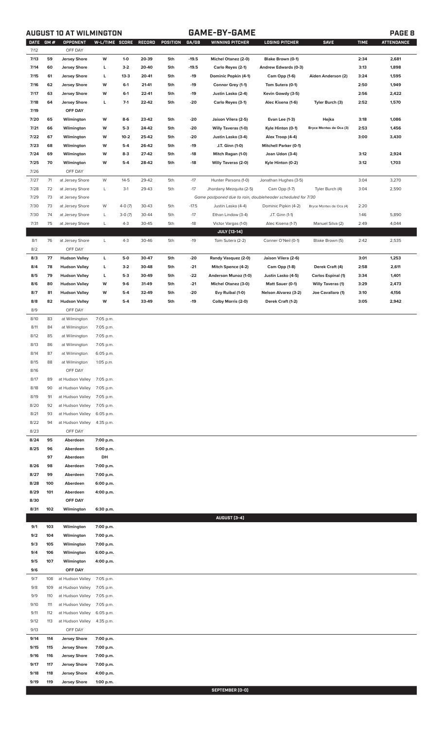**AUGUST 10 AT WILMINGTON GAME-BY-GAME PAGE 8**

| 59<br>$-19.5$<br>2,681<br>7/13<br><b>Jersey Shore</b><br>W<br>$1 - 0$<br>20-39<br>5th<br>Michel Otanez (2-0)<br>Blake Brown (0-1)<br>2:34<br>$-19.5$<br>7/14<br>60<br><b>Jersey Shore</b><br>L<br>$3-2$<br>20-40<br>5th<br>3:13<br>1,898<br>Carlo Reyes (2-1)<br>Andrew Edwards (0-3)<br>7/15<br>61<br><b>Jersey Shore</b><br>L<br>$13 - 3$<br>20-41<br>-19<br>Dominic Popkin (4-1)<br>1,595<br>5th<br>Cam Opp (1-6)<br>Aiden Anderson (2)<br>3:24<br>W<br>7/16<br>62<br><b>Jersey Shore</b><br>$6-1$<br>21-41<br>5th<br>-19<br>Connor Grey (1-1)<br>2:50<br>1,949<br>Tom Sutera (0-1)<br>W<br>7/17<br>63<br><b>Jersey Shore</b><br>$6-1$<br>22-41<br>5th<br>-19<br>Justin Lasko (2-4)<br>Kevin Gowdy (3-5)<br>2:56<br>2,422<br>Г<br>$7-1$<br>7/18<br>64<br>22-42<br>5th<br>$-20$<br>Tyler Burch (3)<br>2:52<br>1,570<br><b>Jersey Shore</b><br>Carlo Reyes (3-1)<br>Alec Kisena (1-6)<br>7/19<br>OFF DAY<br>65<br>7/20<br>Wilmington<br>W<br>23-42<br>-20<br>Jaison Vilera (2-5)<br>Evan Lee (1-3)<br>Hejka<br>3:18<br>1,086<br>8-6<br>5th<br>7/21<br>66<br>Wilmington<br>W<br>$5-3$<br>24-42<br>5th<br>-20<br>Willy Taveras (1-0)<br>Kyle Hinton (0-1)<br>2:53<br>1,456<br>Bryce Montes de Oca (3)<br>7/22<br>67<br>Wilmington<br>W<br>$10-2$<br>25-42<br>-20<br>Justin Lasko (3-4)<br>Alex Troop (4-4)<br>3:00<br>3,430<br>5th<br>7/23<br>68<br>Wilmington<br>W<br>$5-4$<br>26-42<br>5th<br>-19<br>J.T. Ginn (1-0)<br><b>Mitchell Parker (0-1)</b><br>7/24<br>W<br>69<br>Wilmington<br>$8-3$<br>27-42<br>5th<br>-18<br>Mitch Ragan (1-0)<br>Joan Udon (3-4)<br>3:12<br>2,924<br>7/25<br>70<br>W<br>$5-4$<br>$-18$<br>1,703<br>Wilmington<br>28-42<br>5th<br><b>Willy Taveras (2-0)</b><br>Kyle Hinton (0-2)<br>3:12<br>7/26<br>OFF DAY<br>7/27<br>71<br>W<br>29-42<br>$-17$<br>3,270<br>at Jersey Shore<br>$14 - 5$<br>5th<br>Hunter Parsons (1-0)<br>Jonathan Hughes (3-5)<br>3:04<br>7/28<br>29-43<br>$-17$<br>72<br>at Jersey Shore<br>L<br>$3-1$<br>5th<br>Jhordany Mezquita (2-5)<br>Cam Opp (1-7)<br>Tyler Burch (4)<br>3:04<br>2,590<br>7/29<br>73<br>at Jersey Shore<br>Game postponed due to rain, doubleheader scheduled for 7/30<br>7/30<br>$-17.5$<br>73<br>at Jersey Shore<br>W<br>$4-0(7)$<br>30-43<br>5th<br>Dominic Pipkin (4-2)<br>2:20<br>Justin Lasko (4-4)<br>Bryce Montes de Oca (4)<br>7/30<br>$-17$<br>74<br>at Jersey Shore<br>L<br>$3-0(7)$<br>30-44<br>5th<br>Ethan Lindow (3-4)<br>J.T. Ginn (1-1)<br>1:46<br>5,890<br>7/31<br>75<br>4,044<br>at Jersey Shore<br>L<br>$4 - 3$<br>30-45<br>5th<br>$-18$<br>Victor Vargas (1-0)<br>2:49<br>Alec Kisena (1-7)<br>Manuel Silva (2)<br><b>JULY [13-14]</b><br>30-46<br>$-19$<br>8/1<br>76<br>at Jersey Shore<br>L<br>$4-3$<br>5th<br>Tom Sutera (2-2)<br>Conner O'Neil (0-1)<br>Blake Brown (5)<br>2:42<br>2,535<br>8/2<br>OFF DAY<br>77<br>L<br>$-20$<br>8/3<br><b>Hudson Valley</b><br>5-0<br>30-47<br>5th<br>Randy Vasquez (2-0)<br>Jaison Vilera (2-6)<br>3:01<br>1,253<br>8/4<br>78<br><b>Hudson Valley</b><br>L<br>$3-2$<br>30-48<br>5th<br>$-21$<br>Mitch Spence (4-2)<br>Cam Opp (1-8)<br>Derek Craft (4)<br>2:58<br>2,611<br>8/5<br>Г<br>$-22$<br>79<br><b>Hudson Valley</b><br>$5-3$<br>30-49<br>5th<br>Anderson Munoz (1-0)<br>Justin Lasko (4-5)<br><b>Carlos Espinal (1)</b><br>3:34<br>1,401<br>8/6<br>$-21$<br>80<br><b>Hudson Valley</b><br>W<br>$9-6$<br>31-49<br>5th<br>Michel Otanez (3-0)<br>Matt Sauer (0-1)<br><b>Willy Taveras (1)</b><br>3:29<br>2,473<br>8/7<br>$-20$<br>81<br><b>Hudson Valley</b><br>W<br>$5-4$<br>32-49<br>5th<br>Evy Ruibal (1-0)<br><b>Nelson Alvarez (3-2)</b><br>Joe Cavallaro (1)<br>3:10<br>4,156<br>8/8<br>W<br>82<br><b>Hudson Valley</b><br>$5-4$<br>33-49<br>5th<br>-19<br>Colby Morris (2-0)<br>Derek Craft (1-2)<br>3:05<br>2,942<br>8/9<br>OFF DAY<br>8/10<br>83<br>7:05 p.m.<br>at Wilmington<br>8/11<br>84<br>7:05 p.m.<br>at Wilmington<br>8/12<br>85<br>at Wilmington<br>7:05 p.m.<br>8/13<br>86<br>7:05 p.m.<br>at Wilmington<br>8/14<br>87<br>at Wilmington<br>6:05 p.m.<br>8/15<br>88<br>at Wilmington<br>1:05 p.m.<br>8/16<br>OFF DAY<br>8/17<br>89<br>at Hudson Valley<br>7:05 p.m.<br>8/18<br>90<br>at Hudson Valley 7:05 p.m.<br>8/19<br>91<br>at Hudson Valley 7:05 p.m.<br>8/20<br>92<br>at Hudson Valley<br>7:05 p.m.<br>8/21<br>93<br>at Hudson Valley<br>6:05 p.m.<br>8/22<br>94<br>at Hudson Valley<br>4:35 p.m.<br>8/23<br>OFF DAY<br>8/24<br>95<br>Aberdeen<br>7:00 p.m.<br>8/25<br>96<br>Aberdeen<br>5:00 p.m.<br>97<br>DH<br>Aberdeen<br>98<br>8/26<br>Aberdeen<br>7:00 p.m.<br>99<br>8/27<br>Aberdeen<br>7:00 p.m.<br>8/28<br>100<br>Aberdeen<br>6:00 p.m.<br>8/29<br>101<br>Aberdeen<br>4:00 p.m.<br>8/30<br>OFF DAY<br>8/31<br>102<br>Wilmington<br>6:30 p.m.<br>AUGUST [3-4]<br>103<br>9/1<br>7:00 p.m.<br>Wilmington<br>9/2<br>104<br>Wilmington<br>7:00 p.m.<br>9/3<br>105<br>7:00 p.m.<br>Wilmington<br>106<br>9/4<br>Wilmington<br>6:00 p.m.<br>9/5<br>107<br>Wilmington<br>4:00 p.m.<br>9/6<br>OFF DAY<br>9/7<br>108<br>at Hudson Valley<br>7:05 p.m.<br>9/8<br>109<br>at Hudson Valley<br>7:05 p.m.<br>9/9<br>at Hudson Valley 7:05 p.m.<br>110<br>9/10<br>at Hudson Valley<br>7:05 p.m.<br>111<br>9/11<br>at Hudson Valley<br>112<br>6:05 p.m.<br>9/12<br>113<br>at Hudson Valley<br>4:35 p.m.<br>OFF DAY<br>9/13<br>9/14<br>114<br><b>Jersey Shore</b><br>7:00 p.m.<br>9/15<br>115<br><b>Jersey Shore</b><br>7:00 p.m.<br>9/16<br>116<br><b>Jersey Shore</b><br>7:00 p.m.<br>9/17<br>117<br><b>Jersey Shore</b><br>7:00 p.m.<br>9/18<br>118<br><b>Jersey Shore</b><br>4:00 p.m.<br>9/19<br>119<br><b>Jersey Shore</b><br>1:00 p.m. | DATE GM #<br>7/12 | <b>OPPONENT</b><br>OFF DAY | W-L/TIME SCORE | <b>RECORD</b> | POSITION | GA/GB | WINNING PITCHER | LOSING PITCHER | <b>SAVE</b> | <b>TIME</b> | <b>ATTENDANCE</b> |
|-------------------------------------------------------------------------------------------------------------------------------------------------------------------------------------------------------------------------------------------------------------------------------------------------------------------------------------------------------------------------------------------------------------------------------------------------------------------------------------------------------------------------------------------------------------------------------------------------------------------------------------------------------------------------------------------------------------------------------------------------------------------------------------------------------------------------------------------------------------------------------------------------------------------------------------------------------------------------------------------------------------------------------------------------------------------------------------------------------------------------------------------------------------------------------------------------------------------------------------------------------------------------------------------------------------------------------------------------------------------------------------------------------------------------------------------------------------------------------------------------------------------------------------------------------------------------------------------------------------------------------------------------------------------------------------------------------------------------------------------------------------------------------------------------------------------------------------------------------------------------------------------------------------------------------------------------------------------------------------------------------------------------------------------------------------------------------------------------------------------------------------------------------------------------------------------------------------------------------------------------------------------------------------------------------------------------------------------------------------------------------------------------------------------------------------------------------------------------------------------------------------------------------------------------------------------------------------------------------------------------------------------------------------------------------------------------------------------------------------------------------------------------------------------------------------------------------------------------------------------------------------------------------------------------------------------------------------------------------------------------------------------------------------------------------------------------------------------------------------------------------------------------------------------------------------------------------------------------------------------------------------------------------------------------------------------------------------------------------------------------------------------------------------------------------------------------------------------------------------------------------------------------------------------------------------------------------------------------------------------------------------------------------------------------------------------------------------------------------------------------------------------------------------------------------------------------------------------------------------------------------------------------------------------------------------------------------------------------------------------------------------------------------------------------------------------------------------------------------------------------------------------------------------------------------------------------------------------------------------------------------------------------------------------------------------------------------------------------------------------------------------------------------------------------------------------------------------------------------------------------------------------------------------------------------------------------------------------------------------------------------------------------------------------------------------------------------------------------------------------------------------------------------------------------------------------------------------------------------------------------------------------------------------------------------------------------------------------------------------------------------------------------------------------------------------------------------------------------------------------------------------------------------------------------------------------------------------------------------------------------------------------------------------------------------------------------------------------------------------------------------------------------------------------------------------------------------------------------------------------------------------------------------------------------------------------------------------------------------|-------------------|----------------------------|----------------|---------------|----------|-------|-----------------|----------------|-------------|-------------|-------------------|
|                                                                                                                                                                                                                                                                                                                                                                                                                                                                                                                                                                                                                                                                                                                                                                                                                                                                                                                                                                                                                                                                                                                                                                                                                                                                                                                                                                                                                                                                                                                                                                                                                                                                                                                                                                                                                                                                                                                                                                                                                                                                                                                                                                                                                                                                                                                                                                                                                                                                                                                                                                                                                                                                                                                                                                                                                                                                                                                                                                                                                                                                                                                                                                                                                                                                                                                                                                                                                                                                                                                                                                                                                                                                                                                                                                                                                                                                                                                                                                                                                                                                                                                                                                                                                                                                                                                                                                                                                                                                                                                                                                                                                                                                                                                                                                                                                                                                                                                                                                                                                                                                                                                                                                                                                                                                                                                                                                                                                                                                                                                                                                                                       |                   |                            |                |               |          |       |                 |                |             |             |                   |
|                                                                                                                                                                                                                                                                                                                                                                                                                                                                                                                                                                                                                                                                                                                                                                                                                                                                                                                                                                                                                                                                                                                                                                                                                                                                                                                                                                                                                                                                                                                                                                                                                                                                                                                                                                                                                                                                                                                                                                                                                                                                                                                                                                                                                                                                                                                                                                                                                                                                                                                                                                                                                                                                                                                                                                                                                                                                                                                                                                                                                                                                                                                                                                                                                                                                                                                                                                                                                                                                                                                                                                                                                                                                                                                                                                                                                                                                                                                                                                                                                                                                                                                                                                                                                                                                                                                                                                                                                                                                                                                                                                                                                                                                                                                                                                                                                                                                                                                                                                                                                                                                                                                                                                                                                                                                                                                                                                                                                                                                                                                                                                                                       |                   |                            |                |               |          |       |                 |                |             |             |                   |
|                                                                                                                                                                                                                                                                                                                                                                                                                                                                                                                                                                                                                                                                                                                                                                                                                                                                                                                                                                                                                                                                                                                                                                                                                                                                                                                                                                                                                                                                                                                                                                                                                                                                                                                                                                                                                                                                                                                                                                                                                                                                                                                                                                                                                                                                                                                                                                                                                                                                                                                                                                                                                                                                                                                                                                                                                                                                                                                                                                                                                                                                                                                                                                                                                                                                                                                                                                                                                                                                                                                                                                                                                                                                                                                                                                                                                                                                                                                                                                                                                                                                                                                                                                                                                                                                                                                                                                                                                                                                                                                                                                                                                                                                                                                                                                                                                                                                                                                                                                                                                                                                                                                                                                                                                                                                                                                                                                                                                                                                                                                                                                                                       |                   |                            |                |               |          |       |                 |                |             |             |                   |
|                                                                                                                                                                                                                                                                                                                                                                                                                                                                                                                                                                                                                                                                                                                                                                                                                                                                                                                                                                                                                                                                                                                                                                                                                                                                                                                                                                                                                                                                                                                                                                                                                                                                                                                                                                                                                                                                                                                                                                                                                                                                                                                                                                                                                                                                                                                                                                                                                                                                                                                                                                                                                                                                                                                                                                                                                                                                                                                                                                                                                                                                                                                                                                                                                                                                                                                                                                                                                                                                                                                                                                                                                                                                                                                                                                                                                                                                                                                                                                                                                                                                                                                                                                                                                                                                                                                                                                                                                                                                                                                                                                                                                                                                                                                                                                                                                                                                                                                                                                                                                                                                                                                                                                                                                                                                                                                                                                                                                                                                                                                                                                                                       |                   |                            |                |               |          |       |                 |                |             |             |                   |
|                                                                                                                                                                                                                                                                                                                                                                                                                                                                                                                                                                                                                                                                                                                                                                                                                                                                                                                                                                                                                                                                                                                                                                                                                                                                                                                                                                                                                                                                                                                                                                                                                                                                                                                                                                                                                                                                                                                                                                                                                                                                                                                                                                                                                                                                                                                                                                                                                                                                                                                                                                                                                                                                                                                                                                                                                                                                                                                                                                                                                                                                                                                                                                                                                                                                                                                                                                                                                                                                                                                                                                                                                                                                                                                                                                                                                                                                                                                                                                                                                                                                                                                                                                                                                                                                                                                                                                                                                                                                                                                                                                                                                                                                                                                                                                                                                                                                                                                                                                                                                                                                                                                                                                                                                                                                                                                                                                                                                                                                                                                                                                                                       |                   |                            |                |               |          |       |                 |                |             |             |                   |
|                                                                                                                                                                                                                                                                                                                                                                                                                                                                                                                                                                                                                                                                                                                                                                                                                                                                                                                                                                                                                                                                                                                                                                                                                                                                                                                                                                                                                                                                                                                                                                                                                                                                                                                                                                                                                                                                                                                                                                                                                                                                                                                                                                                                                                                                                                                                                                                                                                                                                                                                                                                                                                                                                                                                                                                                                                                                                                                                                                                                                                                                                                                                                                                                                                                                                                                                                                                                                                                                                                                                                                                                                                                                                                                                                                                                                                                                                                                                                                                                                                                                                                                                                                                                                                                                                                                                                                                                                                                                                                                                                                                                                                                                                                                                                                                                                                                                                                                                                                                                                                                                                                                                                                                                                                                                                                                                                                                                                                                                                                                                                                                                       |                   |                            |                |               |          |       |                 |                |             |             |                   |
|                                                                                                                                                                                                                                                                                                                                                                                                                                                                                                                                                                                                                                                                                                                                                                                                                                                                                                                                                                                                                                                                                                                                                                                                                                                                                                                                                                                                                                                                                                                                                                                                                                                                                                                                                                                                                                                                                                                                                                                                                                                                                                                                                                                                                                                                                                                                                                                                                                                                                                                                                                                                                                                                                                                                                                                                                                                                                                                                                                                                                                                                                                                                                                                                                                                                                                                                                                                                                                                                                                                                                                                                                                                                                                                                                                                                                                                                                                                                                                                                                                                                                                                                                                                                                                                                                                                                                                                                                                                                                                                                                                                                                                                                                                                                                                                                                                                                                                                                                                                                                                                                                                                                                                                                                                                                                                                                                                                                                                                                                                                                                                                                       |                   |                            |                |               |          |       |                 |                |             |             |                   |
|                                                                                                                                                                                                                                                                                                                                                                                                                                                                                                                                                                                                                                                                                                                                                                                                                                                                                                                                                                                                                                                                                                                                                                                                                                                                                                                                                                                                                                                                                                                                                                                                                                                                                                                                                                                                                                                                                                                                                                                                                                                                                                                                                                                                                                                                                                                                                                                                                                                                                                                                                                                                                                                                                                                                                                                                                                                                                                                                                                                                                                                                                                                                                                                                                                                                                                                                                                                                                                                                                                                                                                                                                                                                                                                                                                                                                                                                                                                                                                                                                                                                                                                                                                                                                                                                                                                                                                                                                                                                                                                                                                                                                                                                                                                                                                                                                                                                                                                                                                                                                                                                                                                                                                                                                                                                                                                                                                                                                                                                                                                                                                                                       |                   |                            |                |               |          |       |                 |                |             |             |                   |
|                                                                                                                                                                                                                                                                                                                                                                                                                                                                                                                                                                                                                                                                                                                                                                                                                                                                                                                                                                                                                                                                                                                                                                                                                                                                                                                                                                                                                                                                                                                                                                                                                                                                                                                                                                                                                                                                                                                                                                                                                                                                                                                                                                                                                                                                                                                                                                                                                                                                                                                                                                                                                                                                                                                                                                                                                                                                                                                                                                                                                                                                                                                                                                                                                                                                                                                                                                                                                                                                                                                                                                                                                                                                                                                                                                                                                                                                                                                                                                                                                                                                                                                                                                                                                                                                                                                                                                                                                                                                                                                                                                                                                                                                                                                                                                                                                                                                                                                                                                                                                                                                                                                                                                                                                                                                                                                                                                                                                                                                                                                                                                                                       |                   |                            |                |               |          |       |                 |                |             |             |                   |
|                                                                                                                                                                                                                                                                                                                                                                                                                                                                                                                                                                                                                                                                                                                                                                                                                                                                                                                                                                                                                                                                                                                                                                                                                                                                                                                                                                                                                                                                                                                                                                                                                                                                                                                                                                                                                                                                                                                                                                                                                                                                                                                                                                                                                                                                                                                                                                                                                                                                                                                                                                                                                                                                                                                                                                                                                                                                                                                                                                                                                                                                                                                                                                                                                                                                                                                                                                                                                                                                                                                                                                                                                                                                                                                                                                                                                                                                                                                                                                                                                                                                                                                                                                                                                                                                                                                                                                                                                                                                                                                                                                                                                                                                                                                                                                                                                                                                                                                                                                                                                                                                                                                                                                                                                                                                                                                                                                                                                                                                                                                                                                                                       |                   |                            |                |               |          |       |                 |                |             |             |                   |
|                                                                                                                                                                                                                                                                                                                                                                                                                                                                                                                                                                                                                                                                                                                                                                                                                                                                                                                                                                                                                                                                                                                                                                                                                                                                                                                                                                                                                                                                                                                                                                                                                                                                                                                                                                                                                                                                                                                                                                                                                                                                                                                                                                                                                                                                                                                                                                                                                                                                                                                                                                                                                                                                                                                                                                                                                                                                                                                                                                                                                                                                                                                                                                                                                                                                                                                                                                                                                                                                                                                                                                                                                                                                                                                                                                                                                                                                                                                                                                                                                                                                                                                                                                                                                                                                                                                                                                                                                                                                                                                                                                                                                                                                                                                                                                                                                                                                                                                                                                                                                                                                                                                                                                                                                                                                                                                                                                                                                                                                                                                                                                                                       |                   |                            |                |               |          |       |                 |                |             |             |                   |
|                                                                                                                                                                                                                                                                                                                                                                                                                                                                                                                                                                                                                                                                                                                                                                                                                                                                                                                                                                                                                                                                                                                                                                                                                                                                                                                                                                                                                                                                                                                                                                                                                                                                                                                                                                                                                                                                                                                                                                                                                                                                                                                                                                                                                                                                                                                                                                                                                                                                                                                                                                                                                                                                                                                                                                                                                                                                                                                                                                                                                                                                                                                                                                                                                                                                                                                                                                                                                                                                                                                                                                                                                                                                                                                                                                                                                                                                                                                                                                                                                                                                                                                                                                                                                                                                                                                                                                                                                                                                                                                                                                                                                                                                                                                                                                                                                                                                                                                                                                                                                                                                                                                                                                                                                                                                                                                                                                                                                                                                                                                                                                                                       |                   |                            |                |               |          |       |                 |                |             |             |                   |
|                                                                                                                                                                                                                                                                                                                                                                                                                                                                                                                                                                                                                                                                                                                                                                                                                                                                                                                                                                                                                                                                                                                                                                                                                                                                                                                                                                                                                                                                                                                                                                                                                                                                                                                                                                                                                                                                                                                                                                                                                                                                                                                                                                                                                                                                                                                                                                                                                                                                                                                                                                                                                                                                                                                                                                                                                                                                                                                                                                                                                                                                                                                                                                                                                                                                                                                                                                                                                                                                                                                                                                                                                                                                                                                                                                                                                                                                                                                                                                                                                                                                                                                                                                                                                                                                                                                                                                                                                                                                                                                                                                                                                                                                                                                                                                                                                                                                                                                                                                                                                                                                                                                                                                                                                                                                                                                                                                                                                                                                                                                                                                                                       |                   |                            |                |               |          |       |                 |                |             |             |                   |
|                                                                                                                                                                                                                                                                                                                                                                                                                                                                                                                                                                                                                                                                                                                                                                                                                                                                                                                                                                                                                                                                                                                                                                                                                                                                                                                                                                                                                                                                                                                                                                                                                                                                                                                                                                                                                                                                                                                                                                                                                                                                                                                                                                                                                                                                                                                                                                                                                                                                                                                                                                                                                                                                                                                                                                                                                                                                                                                                                                                                                                                                                                                                                                                                                                                                                                                                                                                                                                                                                                                                                                                                                                                                                                                                                                                                                                                                                                                                                                                                                                                                                                                                                                                                                                                                                                                                                                                                                                                                                                                                                                                                                                                                                                                                                                                                                                                                                                                                                                                                                                                                                                                                                                                                                                                                                                                                                                                                                                                                                                                                                                                                       |                   |                            |                |               |          |       |                 |                |             |             |                   |
|                                                                                                                                                                                                                                                                                                                                                                                                                                                                                                                                                                                                                                                                                                                                                                                                                                                                                                                                                                                                                                                                                                                                                                                                                                                                                                                                                                                                                                                                                                                                                                                                                                                                                                                                                                                                                                                                                                                                                                                                                                                                                                                                                                                                                                                                                                                                                                                                                                                                                                                                                                                                                                                                                                                                                                                                                                                                                                                                                                                                                                                                                                                                                                                                                                                                                                                                                                                                                                                                                                                                                                                                                                                                                                                                                                                                                                                                                                                                                                                                                                                                                                                                                                                                                                                                                                                                                                                                                                                                                                                                                                                                                                                                                                                                                                                                                                                                                                                                                                                                                                                                                                                                                                                                                                                                                                                                                                                                                                                                                                                                                                                                       |                   |                            |                |               |          |       |                 |                |             |             |                   |
|                                                                                                                                                                                                                                                                                                                                                                                                                                                                                                                                                                                                                                                                                                                                                                                                                                                                                                                                                                                                                                                                                                                                                                                                                                                                                                                                                                                                                                                                                                                                                                                                                                                                                                                                                                                                                                                                                                                                                                                                                                                                                                                                                                                                                                                                                                                                                                                                                                                                                                                                                                                                                                                                                                                                                                                                                                                                                                                                                                                                                                                                                                                                                                                                                                                                                                                                                                                                                                                                                                                                                                                                                                                                                                                                                                                                                                                                                                                                                                                                                                                                                                                                                                                                                                                                                                                                                                                                                                                                                                                                                                                                                                                                                                                                                                                                                                                                                                                                                                                                                                                                                                                                                                                                                                                                                                                                                                                                                                                                                                                                                                                                       |                   |                            |                |               |          |       |                 |                |             |             |                   |
|                                                                                                                                                                                                                                                                                                                                                                                                                                                                                                                                                                                                                                                                                                                                                                                                                                                                                                                                                                                                                                                                                                                                                                                                                                                                                                                                                                                                                                                                                                                                                                                                                                                                                                                                                                                                                                                                                                                                                                                                                                                                                                                                                                                                                                                                                                                                                                                                                                                                                                                                                                                                                                                                                                                                                                                                                                                                                                                                                                                                                                                                                                                                                                                                                                                                                                                                                                                                                                                                                                                                                                                                                                                                                                                                                                                                                                                                                                                                                                                                                                                                                                                                                                                                                                                                                                                                                                                                                                                                                                                                                                                                                                                                                                                                                                                                                                                                                                                                                                                                                                                                                                                                                                                                                                                                                                                                                                                                                                                                                                                                                                                                       |                   |                            |                |               |          |       |                 |                |             |             |                   |
|                                                                                                                                                                                                                                                                                                                                                                                                                                                                                                                                                                                                                                                                                                                                                                                                                                                                                                                                                                                                                                                                                                                                                                                                                                                                                                                                                                                                                                                                                                                                                                                                                                                                                                                                                                                                                                                                                                                                                                                                                                                                                                                                                                                                                                                                                                                                                                                                                                                                                                                                                                                                                                                                                                                                                                                                                                                                                                                                                                                                                                                                                                                                                                                                                                                                                                                                                                                                                                                                                                                                                                                                                                                                                                                                                                                                                                                                                                                                                                                                                                                                                                                                                                                                                                                                                                                                                                                                                                                                                                                                                                                                                                                                                                                                                                                                                                                                                                                                                                                                                                                                                                                                                                                                                                                                                                                                                                                                                                                                                                                                                                                                       |                   |                            |                |               |          |       |                 |                |             |             |                   |
|                                                                                                                                                                                                                                                                                                                                                                                                                                                                                                                                                                                                                                                                                                                                                                                                                                                                                                                                                                                                                                                                                                                                                                                                                                                                                                                                                                                                                                                                                                                                                                                                                                                                                                                                                                                                                                                                                                                                                                                                                                                                                                                                                                                                                                                                                                                                                                                                                                                                                                                                                                                                                                                                                                                                                                                                                                                                                                                                                                                                                                                                                                                                                                                                                                                                                                                                                                                                                                                                                                                                                                                                                                                                                                                                                                                                                                                                                                                                                                                                                                                                                                                                                                                                                                                                                                                                                                                                                                                                                                                                                                                                                                                                                                                                                                                                                                                                                                                                                                                                                                                                                                                                                                                                                                                                                                                                                                                                                                                                                                                                                                                                       |                   |                            |                |               |          |       |                 |                |             |             |                   |
|                                                                                                                                                                                                                                                                                                                                                                                                                                                                                                                                                                                                                                                                                                                                                                                                                                                                                                                                                                                                                                                                                                                                                                                                                                                                                                                                                                                                                                                                                                                                                                                                                                                                                                                                                                                                                                                                                                                                                                                                                                                                                                                                                                                                                                                                                                                                                                                                                                                                                                                                                                                                                                                                                                                                                                                                                                                                                                                                                                                                                                                                                                                                                                                                                                                                                                                                                                                                                                                                                                                                                                                                                                                                                                                                                                                                                                                                                                                                                                                                                                                                                                                                                                                                                                                                                                                                                                                                                                                                                                                                                                                                                                                                                                                                                                                                                                                                                                                                                                                                                                                                                                                                                                                                                                                                                                                                                                                                                                                                                                                                                                                                       |                   |                            |                |               |          |       |                 |                |             |             |                   |
|                                                                                                                                                                                                                                                                                                                                                                                                                                                                                                                                                                                                                                                                                                                                                                                                                                                                                                                                                                                                                                                                                                                                                                                                                                                                                                                                                                                                                                                                                                                                                                                                                                                                                                                                                                                                                                                                                                                                                                                                                                                                                                                                                                                                                                                                                                                                                                                                                                                                                                                                                                                                                                                                                                                                                                                                                                                                                                                                                                                                                                                                                                                                                                                                                                                                                                                                                                                                                                                                                                                                                                                                                                                                                                                                                                                                                                                                                                                                                                                                                                                                                                                                                                                                                                                                                                                                                                                                                                                                                                                                                                                                                                                                                                                                                                                                                                                                                                                                                                                                                                                                                                                                                                                                                                                                                                                                                                                                                                                                                                                                                                                                       |                   |                            |                |               |          |       |                 |                |             |             |                   |
|                                                                                                                                                                                                                                                                                                                                                                                                                                                                                                                                                                                                                                                                                                                                                                                                                                                                                                                                                                                                                                                                                                                                                                                                                                                                                                                                                                                                                                                                                                                                                                                                                                                                                                                                                                                                                                                                                                                                                                                                                                                                                                                                                                                                                                                                                                                                                                                                                                                                                                                                                                                                                                                                                                                                                                                                                                                                                                                                                                                                                                                                                                                                                                                                                                                                                                                                                                                                                                                                                                                                                                                                                                                                                                                                                                                                                                                                                                                                                                                                                                                                                                                                                                                                                                                                                                                                                                                                                                                                                                                                                                                                                                                                                                                                                                                                                                                                                                                                                                                                                                                                                                                                                                                                                                                                                                                                                                                                                                                                                                                                                                                                       |                   |                            |                |               |          |       |                 |                |             |             |                   |
|                                                                                                                                                                                                                                                                                                                                                                                                                                                                                                                                                                                                                                                                                                                                                                                                                                                                                                                                                                                                                                                                                                                                                                                                                                                                                                                                                                                                                                                                                                                                                                                                                                                                                                                                                                                                                                                                                                                                                                                                                                                                                                                                                                                                                                                                                                                                                                                                                                                                                                                                                                                                                                                                                                                                                                                                                                                                                                                                                                                                                                                                                                                                                                                                                                                                                                                                                                                                                                                                                                                                                                                                                                                                                                                                                                                                                                                                                                                                                                                                                                                                                                                                                                                                                                                                                                                                                                                                                                                                                                                                                                                                                                                                                                                                                                                                                                                                                                                                                                                                                                                                                                                                                                                                                                                                                                                                                                                                                                                                                                                                                                                                       |                   |                            |                |               |          |       |                 |                |             |             |                   |
|                                                                                                                                                                                                                                                                                                                                                                                                                                                                                                                                                                                                                                                                                                                                                                                                                                                                                                                                                                                                                                                                                                                                                                                                                                                                                                                                                                                                                                                                                                                                                                                                                                                                                                                                                                                                                                                                                                                                                                                                                                                                                                                                                                                                                                                                                                                                                                                                                                                                                                                                                                                                                                                                                                                                                                                                                                                                                                                                                                                                                                                                                                                                                                                                                                                                                                                                                                                                                                                                                                                                                                                                                                                                                                                                                                                                                                                                                                                                                                                                                                                                                                                                                                                                                                                                                                                                                                                                                                                                                                                                                                                                                                                                                                                                                                                                                                                                                                                                                                                                                                                                                                                                                                                                                                                                                                                                                                                                                                                                                                                                                                                                       |                   |                            |                |               |          |       |                 |                |             |             |                   |
|                                                                                                                                                                                                                                                                                                                                                                                                                                                                                                                                                                                                                                                                                                                                                                                                                                                                                                                                                                                                                                                                                                                                                                                                                                                                                                                                                                                                                                                                                                                                                                                                                                                                                                                                                                                                                                                                                                                                                                                                                                                                                                                                                                                                                                                                                                                                                                                                                                                                                                                                                                                                                                                                                                                                                                                                                                                                                                                                                                                                                                                                                                                                                                                                                                                                                                                                                                                                                                                                                                                                                                                                                                                                                                                                                                                                                                                                                                                                                                                                                                                                                                                                                                                                                                                                                                                                                                                                                                                                                                                                                                                                                                                                                                                                                                                                                                                                                                                                                                                                                                                                                                                                                                                                                                                                                                                                                                                                                                                                                                                                                                                                       |                   |                            |                |               |          |       |                 |                |             |             |                   |
|                                                                                                                                                                                                                                                                                                                                                                                                                                                                                                                                                                                                                                                                                                                                                                                                                                                                                                                                                                                                                                                                                                                                                                                                                                                                                                                                                                                                                                                                                                                                                                                                                                                                                                                                                                                                                                                                                                                                                                                                                                                                                                                                                                                                                                                                                                                                                                                                                                                                                                                                                                                                                                                                                                                                                                                                                                                                                                                                                                                                                                                                                                                                                                                                                                                                                                                                                                                                                                                                                                                                                                                                                                                                                                                                                                                                                                                                                                                                                                                                                                                                                                                                                                                                                                                                                                                                                                                                                                                                                                                                                                                                                                                                                                                                                                                                                                                                                                                                                                                                                                                                                                                                                                                                                                                                                                                                                                                                                                                                                                                                                                                                       |                   |                            |                |               |          |       |                 |                |             |             |                   |
|                                                                                                                                                                                                                                                                                                                                                                                                                                                                                                                                                                                                                                                                                                                                                                                                                                                                                                                                                                                                                                                                                                                                                                                                                                                                                                                                                                                                                                                                                                                                                                                                                                                                                                                                                                                                                                                                                                                                                                                                                                                                                                                                                                                                                                                                                                                                                                                                                                                                                                                                                                                                                                                                                                                                                                                                                                                                                                                                                                                                                                                                                                                                                                                                                                                                                                                                                                                                                                                                                                                                                                                                                                                                                                                                                                                                                                                                                                                                                                                                                                                                                                                                                                                                                                                                                                                                                                                                                                                                                                                                                                                                                                                                                                                                                                                                                                                                                                                                                                                                                                                                                                                                                                                                                                                                                                                                                                                                                                                                                                                                                                                                       |                   |                            |                |               |          |       |                 |                |             |             |                   |
|                                                                                                                                                                                                                                                                                                                                                                                                                                                                                                                                                                                                                                                                                                                                                                                                                                                                                                                                                                                                                                                                                                                                                                                                                                                                                                                                                                                                                                                                                                                                                                                                                                                                                                                                                                                                                                                                                                                                                                                                                                                                                                                                                                                                                                                                                                                                                                                                                                                                                                                                                                                                                                                                                                                                                                                                                                                                                                                                                                                                                                                                                                                                                                                                                                                                                                                                                                                                                                                                                                                                                                                                                                                                                                                                                                                                                                                                                                                                                                                                                                                                                                                                                                                                                                                                                                                                                                                                                                                                                                                                                                                                                                                                                                                                                                                                                                                                                                                                                                                                                                                                                                                                                                                                                                                                                                                                                                                                                                                                                                                                                                                                       |                   |                            |                |               |          |       |                 |                |             |             |                   |
|                                                                                                                                                                                                                                                                                                                                                                                                                                                                                                                                                                                                                                                                                                                                                                                                                                                                                                                                                                                                                                                                                                                                                                                                                                                                                                                                                                                                                                                                                                                                                                                                                                                                                                                                                                                                                                                                                                                                                                                                                                                                                                                                                                                                                                                                                                                                                                                                                                                                                                                                                                                                                                                                                                                                                                                                                                                                                                                                                                                                                                                                                                                                                                                                                                                                                                                                                                                                                                                                                                                                                                                                                                                                                                                                                                                                                                                                                                                                                                                                                                                                                                                                                                                                                                                                                                                                                                                                                                                                                                                                                                                                                                                                                                                                                                                                                                                                                                                                                                                                                                                                                                                                                                                                                                                                                                                                                                                                                                                                                                                                                                                                       |                   |                            |                |               |          |       |                 |                |             |             |                   |
|                                                                                                                                                                                                                                                                                                                                                                                                                                                                                                                                                                                                                                                                                                                                                                                                                                                                                                                                                                                                                                                                                                                                                                                                                                                                                                                                                                                                                                                                                                                                                                                                                                                                                                                                                                                                                                                                                                                                                                                                                                                                                                                                                                                                                                                                                                                                                                                                                                                                                                                                                                                                                                                                                                                                                                                                                                                                                                                                                                                                                                                                                                                                                                                                                                                                                                                                                                                                                                                                                                                                                                                                                                                                                                                                                                                                                                                                                                                                                                                                                                                                                                                                                                                                                                                                                                                                                                                                                                                                                                                                                                                                                                                                                                                                                                                                                                                                                                                                                                                                                                                                                                                                                                                                                                                                                                                                                                                                                                                                                                                                                                                                       |                   |                            |                |               |          |       |                 |                |             |             |                   |
|                                                                                                                                                                                                                                                                                                                                                                                                                                                                                                                                                                                                                                                                                                                                                                                                                                                                                                                                                                                                                                                                                                                                                                                                                                                                                                                                                                                                                                                                                                                                                                                                                                                                                                                                                                                                                                                                                                                                                                                                                                                                                                                                                                                                                                                                                                                                                                                                                                                                                                                                                                                                                                                                                                                                                                                                                                                                                                                                                                                                                                                                                                                                                                                                                                                                                                                                                                                                                                                                                                                                                                                                                                                                                                                                                                                                                                                                                                                                                                                                                                                                                                                                                                                                                                                                                                                                                                                                                                                                                                                                                                                                                                                                                                                                                                                                                                                                                                                                                                                                                                                                                                                                                                                                                                                                                                                                                                                                                                                                                                                                                                                                       |                   |                            |                |               |          |       |                 |                |             |             |                   |
|                                                                                                                                                                                                                                                                                                                                                                                                                                                                                                                                                                                                                                                                                                                                                                                                                                                                                                                                                                                                                                                                                                                                                                                                                                                                                                                                                                                                                                                                                                                                                                                                                                                                                                                                                                                                                                                                                                                                                                                                                                                                                                                                                                                                                                                                                                                                                                                                                                                                                                                                                                                                                                                                                                                                                                                                                                                                                                                                                                                                                                                                                                                                                                                                                                                                                                                                                                                                                                                                                                                                                                                                                                                                                                                                                                                                                                                                                                                                                                                                                                                                                                                                                                                                                                                                                                                                                                                                                                                                                                                                                                                                                                                                                                                                                                                                                                                                                                                                                                                                                                                                                                                                                                                                                                                                                                                                                                                                                                                                                                                                                                                                       |                   |                            |                |               |          |       |                 |                |             |             |                   |
|                                                                                                                                                                                                                                                                                                                                                                                                                                                                                                                                                                                                                                                                                                                                                                                                                                                                                                                                                                                                                                                                                                                                                                                                                                                                                                                                                                                                                                                                                                                                                                                                                                                                                                                                                                                                                                                                                                                                                                                                                                                                                                                                                                                                                                                                                                                                                                                                                                                                                                                                                                                                                                                                                                                                                                                                                                                                                                                                                                                                                                                                                                                                                                                                                                                                                                                                                                                                                                                                                                                                                                                                                                                                                                                                                                                                                                                                                                                                                                                                                                                                                                                                                                                                                                                                                                                                                                                                                                                                                                                                                                                                                                                                                                                                                                                                                                                                                                                                                                                                                                                                                                                                                                                                                                                                                                                                                                                                                                                                                                                                                                                                       |                   |                            |                |               |          |       |                 |                |             |             |                   |
|                                                                                                                                                                                                                                                                                                                                                                                                                                                                                                                                                                                                                                                                                                                                                                                                                                                                                                                                                                                                                                                                                                                                                                                                                                                                                                                                                                                                                                                                                                                                                                                                                                                                                                                                                                                                                                                                                                                                                                                                                                                                                                                                                                                                                                                                                                                                                                                                                                                                                                                                                                                                                                                                                                                                                                                                                                                                                                                                                                                                                                                                                                                                                                                                                                                                                                                                                                                                                                                                                                                                                                                                                                                                                                                                                                                                                                                                                                                                                                                                                                                                                                                                                                                                                                                                                                                                                                                                                                                                                                                                                                                                                                                                                                                                                                                                                                                                                                                                                                                                                                                                                                                                                                                                                                                                                                                                                                                                                                                                                                                                                                                                       |                   |                            |                |               |          |       |                 |                |             |             |                   |
|                                                                                                                                                                                                                                                                                                                                                                                                                                                                                                                                                                                                                                                                                                                                                                                                                                                                                                                                                                                                                                                                                                                                                                                                                                                                                                                                                                                                                                                                                                                                                                                                                                                                                                                                                                                                                                                                                                                                                                                                                                                                                                                                                                                                                                                                                                                                                                                                                                                                                                                                                                                                                                                                                                                                                                                                                                                                                                                                                                                                                                                                                                                                                                                                                                                                                                                                                                                                                                                                                                                                                                                                                                                                                                                                                                                                                                                                                                                                                                                                                                                                                                                                                                                                                                                                                                                                                                                                                                                                                                                                                                                                                                                                                                                                                                                                                                                                                                                                                                                                                                                                                                                                                                                                                                                                                                                                                                                                                                                                                                                                                                                                       |                   |                            |                |               |          |       |                 |                |             |             |                   |
|                                                                                                                                                                                                                                                                                                                                                                                                                                                                                                                                                                                                                                                                                                                                                                                                                                                                                                                                                                                                                                                                                                                                                                                                                                                                                                                                                                                                                                                                                                                                                                                                                                                                                                                                                                                                                                                                                                                                                                                                                                                                                                                                                                                                                                                                                                                                                                                                                                                                                                                                                                                                                                                                                                                                                                                                                                                                                                                                                                                                                                                                                                                                                                                                                                                                                                                                                                                                                                                                                                                                                                                                                                                                                                                                                                                                                                                                                                                                                                                                                                                                                                                                                                                                                                                                                                                                                                                                                                                                                                                                                                                                                                                                                                                                                                                                                                                                                                                                                                                                                                                                                                                                                                                                                                                                                                                                                                                                                                                                                                                                                                                                       |                   |                            |                |               |          |       |                 |                |             |             |                   |
|                                                                                                                                                                                                                                                                                                                                                                                                                                                                                                                                                                                                                                                                                                                                                                                                                                                                                                                                                                                                                                                                                                                                                                                                                                                                                                                                                                                                                                                                                                                                                                                                                                                                                                                                                                                                                                                                                                                                                                                                                                                                                                                                                                                                                                                                                                                                                                                                                                                                                                                                                                                                                                                                                                                                                                                                                                                                                                                                                                                                                                                                                                                                                                                                                                                                                                                                                                                                                                                                                                                                                                                                                                                                                                                                                                                                                                                                                                                                                                                                                                                                                                                                                                                                                                                                                                                                                                                                                                                                                                                                                                                                                                                                                                                                                                                                                                                                                                                                                                                                                                                                                                                                                                                                                                                                                                                                                                                                                                                                                                                                                                                                       |                   |                            |                |               |          |       |                 |                |             |             |                   |
|                                                                                                                                                                                                                                                                                                                                                                                                                                                                                                                                                                                                                                                                                                                                                                                                                                                                                                                                                                                                                                                                                                                                                                                                                                                                                                                                                                                                                                                                                                                                                                                                                                                                                                                                                                                                                                                                                                                                                                                                                                                                                                                                                                                                                                                                                                                                                                                                                                                                                                                                                                                                                                                                                                                                                                                                                                                                                                                                                                                                                                                                                                                                                                                                                                                                                                                                                                                                                                                                                                                                                                                                                                                                                                                                                                                                                                                                                                                                                                                                                                                                                                                                                                                                                                                                                                                                                                                                                                                                                                                                                                                                                                                                                                                                                                                                                                                                                                                                                                                                                                                                                                                                                                                                                                                                                                                                                                                                                                                                                                                                                                                                       |                   |                            |                |               |          |       |                 |                |             |             |                   |
|                                                                                                                                                                                                                                                                                                                                                                                                                                                                                                                                                                                                                                                                                                                                                                                                                                                                                                                                                                                                                                                                                                                                                                                                                                                                                                                                                                                                                                                                                                                                                                                                                                                                                                                                                                                                                                                                                                                                                                                                                                                                                                                                                                                                                                                                                                                                                                                                                                                                                                                                                                                                                                                                                                                                                                                                                                                                                                                                                                                                                                                                                                                                                                                                                                                                                                                                                                                                                                                                                                                                                                                                                                                                                                                                                                                                                                                                                                                                                                                                                                                                                                                                                                                                                                                                                                                                                                                                                                                                                                                                                                                                                                                                                                                                                                                                                                                                                                                                                                                                                                                                                                                                                                                                                                                                                                                                                                                                                                                                                                                                                                                                       |                   |                            |                |               |          |       |                 |                |             |             |                   |
|                                                                                                                                                                                                                                                                                                                                                                                                                                                                                                                                                                                                                                                                                                                                                                                                                                                                                                                                                                                                                                                                                                                                                                                                                                                                                                                                                                                                                                                                                                                                                                                                                                                                                                                                                                                                                                                                                                                                                                                                                                                                                                                                                                                                                                                                                                                                                                                                                                                                                                                                                                                                                                                                                                                                                                                                                                                                                                                                                                                                                                                                                                                                                                                                                                                                                                                                                                                                                                                                                                                                                                                                                                                                                                                                                                                                                                                                                                                                                                                                                                                                                                                                                                                                                                                                                                                                                                                                                                                                                                                                                                                                                                                                                                                                                                                                                                                                                                                                                                                                                                                                                                                                                                                                                                                                                                                                                                                                                                                                                                                                                                                                       |                   |                            |                |               |          |       |                 |                |             |             |                   |
|                                                                                                                                                                                                                                                                                                                                                                                                                                                                                                                                                                                                                                                                                                                                                                                                                                                                                                                                                                                                                                                                                                                                                                                                                                                                                                                                                                                                                                                                                                                                                                                                                                                                                                                                                                                                                                                                                                                                                                                                                                                                                                                                                                                                                                                                                                                                                                                                                                                                                                                                                                                                                                                                                                                                                                                                                                                                                                                                                                                                                                                                                                                                                                                                                                                                                                                                                                                                                                                                                                                                                                                                                                                                                                                                                                                                                                                                                                                                                                                                                                                                                                                                                                                                                                                                                                                                                                                                                                                                                                                                                                                                                                                                                                                                                                                                                                                                                                                                                                                                                                                                                                                                                                                                                                                                                                                                                                                                                                                                                                                                                                                                       |                   |                            |                |               |          |       |                 |                |             |             |                   |
|                                                                                                                                                                                                                                                                                                                                                                                                                                                                                                                                                                                                                                                                                                                                                                                                                                                                                                                                                                                                                                                                                                                                                                                                                                                                                                                                                                                                                                                                                                                                                                                                                                                                                                                                                                                                                                                                                                                                                                                                                                                                                                                                                                                                                                                                                                                                                                                                                                                                                                                                                                                                                                                                                                                                                                                                                                                                                                                                                                                                                                                                                                                                                                                                                                                                                                                                                                                                                                                                                                                                                                                                                                                                                                                                                                                                                                                                                                                                                                                                                                                                                                                                                                                                                                                                                                                                                                                                                                                                                                                                                                                                                                                                                                                                                                                                                                                                                                                                                                                                                                                                                                                                                                                                                                                                                                                                                                                                                                                                                                                                                                                                       |                   |                            |                |               |          |       |                 |                |             |             |                   |
|                                                                                                                                                                                                                                                                                                                                                                                                                                                                                                                                                                                                                                                                                                                                                                                                                                                                                                                                                                                                                                                                                                                                                                                                                                                                                                                                                                                                                                                                                                                                                                                                                                                                                                                                                                                                                                                                                                                                                                                                                                                                                                                                                                                                                                                                                                                                                                                                                                                                                                                                                                                                                                                                                                                                                                                                                                                                                                                                                                                                                                                                                                                                                                                                                                                                                                                                                                                                                                                                                                                                                                                                                                                                                                                                                                                                                                                                                                                                                                                                                                                                                                                                                                                                                                                                                                                                                                                                                                                                                                                                                                                                                                                                                                                                                                                                                                                                                                                                                                                                                                                                                                                                                                                                                                                                                                                                                                                                                                                                                                                                                                                                       |                   |                            |                |               |          |       |                 |                |             |             |                   |
|                                                                                                                                                                                                                                                                                                                                                                                                                                                                                                                                                                                                                                                                                                                                                                                                                                                                                                                                                                                                                                                                                                                                                                                                                                                                                                                                                                                                                                                                                                                                                                                                                                                                                                                                                                                                                                                                                                                                                                                                                                                                                                                                                                                                                                                                                                                                                                                                                                                                                                                                                                                                                                                                                                                                                                                                                                                                                                                                                                                                                                                                                                                                                                                                                                                                                                                                                                                                                                                                                                                                                                                                                                                                                                                                                                                                                                                                                                                                                                                                                                                                                                                                                                                                                                                                                                                                                                                                                                                                                                                                                                                                                                                                                                                                                                                                                                                                                                                                                                                                                                                                                                                                                                                                                                                                                                                                                                                                                                                                                                                                                                                                       |                   |                            |                |               |          |       |                 |                |             |             |                   |
|                                                                                                                                                                                                                                                                                                                                                                                                                                                                                                                                                                                                                                                                                                                                                                                                                                                                                                                                                                                                                                                                                                                                                                                                                                                                                                                                                                                                                                                                                                                                                                                                                                                                                                                                                                                                                                                                                                                                                                                                                                                                                                                                                                                                                                                                                                                                                                                                                                                                                                                                                                                                                                                                                                                                                                                                                                                                                                                                                                                                                                                                                                                                                                                                                                                                                                                                                                                                                                                                                                                                                                                                                                                                                                                                                                                                                                                                                                                                                                                                                                                                                                                                                                                                                                                                                                                                                                                                                                                                                                                                                                                                                                                                                                                                                                                                                                                                                                                                                                                                                                                                                                                                                                                                                                                                                                                                                                                                                                                                                                                                                                                                       |                   |                            |                |               |          |       |                 |                |             |             |                   |
|                                                                                                                                                                                                                                                                                                                                                                                                                                                                                                                                                                                                                                                                                                                                                                                                                                                                                                                                                                                                                                                                                                                                                                                                                                                                                                                                                                                                                                                                                                                                                                                                                                                                                                                                                                                                                                                                                                                                                                                                                                                                                                                                                                                                                                                                                                                                                                                                                                                                                                                                                                                                                                                                                                                                                                                                                                                                                                                                                                                                                                                                                                                                                                                                                                                                                                                                                                                                                                                                                                                                                                                                                                                                                                                                                                                                                                                                                                                                                                                                                                                                                                                                                                                                                                                                                                                                                                                                                                                                                                                                                                                                                                                                                                                                                                                                                                                                                                                                                                                                                                                                                                                                                                                                                                                                                                                                                                                                                                                                                                                                                                                                       |                   |                            |                |               |          |       |                 |                |             |             |                   |
|                                                                                                                                                                                                                                                                                                                                                                                                                                                                                                                                                                                                                                                                                                                                                                                                                                                                                                                                                                                                                                                                                                                                                                                                                                                                                                                                                                                                                                                                                                                                                                                                                                                                                                                                                                                                                                                                                                                                                                                                                                                                                                                                                                                                                                                                                                                                                                                                                                                                                                                                                                                                                                                                                                                                                                                                                                                                                                                                                                                                                                                                                                                                                                                                                                                                                                                                                                                                                                                                                                                                                                                                                                                                                                                                                                                                                                                                                                                                                                                                                                                                                                                                                                                                                                                                                                                                                                                                                                                                                                                                                                                                                                                                                                                                                                                                                                                                                                                                                                                                                                                                                                                                                                                                                                                                                                                                                                                                                                                                                                                                                                                                       |                   |                            |                |               |          |       |                 |                |             |             |                   |
|                                                                                                                                                                                                                                                                                                                                                                                                                                                                                                                                                                                                                                                                                                                                                                                                                                                                                                                                                                                                                                                                                                                                                                                                                                                                                                                                                                                                                                                                                                                                                                                                                                                                                                                                                                                                                                                                                                                                                                                                                                                                                                                                                                                                                                                                                                                                                                                                                                                                                                                                                                                                                                                                                                                                                                                                                                                                                                                                                                                                                                                                                                                                                                                                                                                                                                                                                                                                                                                                                                                                                                                                                                                                                                                                                                                                                                                                                                                                                                                                                                                                                                                                                                                                                                                                                                                                                                                                                                                                                                                                                                                                                                                                                                                                                                                                                                                                                                                                                                                                                                                                                                                                                                                                                                                                                                                                                                                                                                                                                                                                                                                                       |                   |                            |                |               |          |       |                 |                |             |             |                   |
|                                                                                                                                                                                                                                                                                                                                                                                                                                                                                                                                                                                                                                                                                                                                                                                                                                                                                                                                                                                                                                                                                                                                                                                                                                                                                                                                                                                                                                                                                                                                                                                                                                                                                                                                                                                                                                                                                                                                                                                                                                                                                                                                                                                                                                                                                                                                                                                                                                                                                                                                                                                                                                                                                                                                                                                                                                                                                                                                                                                                                                                                                                                                                                                                                                                                                                                                                                                                                                                                                                                                                                                                                                                                                                                                                                                                                                                                                                                                                                                                                                                                                                                                                                                                                                                                                                                                                                                                                                                                                                                                                                                                                                                                                                                                                                                                                                                                                                                                                                                                                                                                                                                                                                                                                                                                                                                                                                                                                                                                                                                                                                                                       |                   |                            |                |               |          |       |                 |                |             |             |                   |
|                                                                                                                                                                                                                                                                                                                                                                                                                                                                                                                                                                                                                                                                                                                                                                                                                                                                                                                                                                                                                                                                                                                                                                                                                                                                                                                                                                                                                                                                                                                                                                                                                                                                                                                                                                                                                                                                                                                                                                                                                                                                                                                                                                                                                                                                                                                                                                                                                                                                                                                                                                                                                                                                                                                                                                                                                                                                                                                                                                                                                                                                                                                                                                                                                                                                                                                                                                                                                                                                                                                                                                                                                                                                                                                                                                                                                                                                                                                                                                                                                                                                                                                                                                                                                                                                                                                                                                                                                                                                                                                                                                                                                                                                                                                                                                                                                                                                                                                                                                                                                                                                                                                                                                                                                                                                                                                                                                                                                                                                                                                                                                                                       |                   |                            |                |               |          |       |                 |                |             |             |                   |
|                                                                                                                                                                                                                                                                                                                                                                                                                                                                                                                                                                                                                                                                                                                                                                                                                                                                                                                                                                                                                                                                                                                                                                                                                                                                                                                                                                                                                                                                                                                                                                                                                                                                                                                                                                                                                                                                                                                                                                                                                                                                                                                                                                                                                                                                                                                                                                                                                                                                                                                                                                                                                                                                                                                                                                                                                                                                                                                                                                                                                                                                                                                                                                                                                                                                                                                                                                                                                                                                                                                                                                                                                                                                                                                                                                                                                                                                                                                                                                                                                                                                                                                                                                                                                                                                                                                                                                                                                                                                                                                                                                                                                                                                                                                                                                                                                                                                                                                                                                                                                                                                                                                                                                                                                                                                                                                                                                                                                                                                                                                                                                                                       |                   |                            |                |               |          |       |                 |                |             |             |                   |
|                                                                                                                                                                                                                                                                                                                                                                                                                                                                                                                                                                                                                                                                                                                                                                                                                                                                                                                                                                                                                                                                                                                                                                                                                                                                                                                                                                                                                                                                                                                                                                                                                                                                                                                                                                                                                                                                                                                                                                                                                                                                                                                                                                                                                                                                                                                                                                                                                                                                                                                                                                                                                                                                                                                                                                                                                                                                                                                                                                                                                                                                                                                                                                                                                                                                                                                                                                                                                                                                                                                                                                                                                                                                                                                                                                                                                                                                                                                                                                                                                                                                                                                                                                                                                                                                                                                                                                                                                                                                                                                                                                                                                                                                                                                                                                                                                                                                                                                                                                                                                                                                                                                                                                                                                                                                                                                                                                                                                                                                                                                                                                                                       |                   |                            |                |               |          |       |                 |                |             |             |                   |
|                                                                                                                                                                                                                                                                                                                                                                                                                                                                                                                                                                                                                                                                                                                                                                                                                                                                                                                                                                                                                                                                                                                                                                                                                                                                                                                                                                                                                                                                                                                                                                                                                                                                                                                                                                                                                                                                                                                                                                                                                                                                                                                                                                                                                                                                                                                                                                                                                                                                                                                                                                                                                                                                                                                                                                                                                                                                                                                                                                                                                                                                                                                                                                                                                                                                                                                                                                                                                                                                                                                                                                                                                                                                                                                                                                                                                                                                                                                                                                                                                                                                                                                                                                                                                                                                                                                                                                                                                                                                                                                                                                                                                                                                                                                                                                                                                                                                                                                                                                                                                                                                                                                                                                                                                                                                                                                                                                                                                                                                                                                                                                                                       |                   |                            |                |               |          |       |                 |                |             |             |                   |
|                                                                                                                                                                                                                                                                                                                                                                                                                                                                                                                                                                                                                                                                                                                                                                                                                                                                                                                                                                                                                                                                                                                                                                                                                                                                                                                                                                                                                                                                                                                                                                                                                                                                                                                                                                                                                                                                                                                                                                                                                                                                                                                                                                                                                                                                                                                                                                                                                                                                                                                                                                                                                                                                                                                                                                                                                                                                                                                                                                                                                                                                                                                                                                                                                                                                                                                                                                                                                                                                                                                                                                                                                                                                                                                                                                                                                                                                                                                                                                                                                                                                                                                                                                                                                                                                                                                                                                                                                                                                                                                                                                                                                                                                                                                                                                                                                                                                                                                                                                                                                                                                                                                                                                                                                                                                                                                                                                                                                                                                                                                                                                                                       |                   |                            |                |               |          |       |                 |                |             |             |                   |
|                                                                                                                                                                                                                                                                                                                                                                                                                                                                                                                                                                                                                                                                                                                                                                                                                                                                                                                                                                                                                                                                                                                                                                                                                                                                                                                                                                                                                                                                                                                                                                                                                                                                                                                                                                                                                                                                                                                                                                                                                                                                                                                                                                                                                                                                                                                                                                                                                                                                                                                                                                                                                                                                                                                                                                                                                                                                                                                                                                                                                                                                                                                                                                                                                                                                                                                                                                                                                                                                                                                                                                                                                                                                                                                                                                                                                                                                                                                                                                                                                                                                                                                                                                                                                                                                                                                                                                                                                                                                                                                                                                                                                                                                                                                                                                                                                                                                                                                                                                                                                                                                                                                                                                                                                                                                                                                                                                                                                                                                                                                                                                                                       |                   |                            |                |               |          |       |                 |                |             |             |                   |
|                                                                                                                                                                                                                                                                                                                                                                                                                                                                                                                                                                                                                                                                                                                                                                                                                                                                                                                                                                                                                                                                                                                                                                                                                                                                                                                                                                                                                                                                                                                                                                                                                                                                                                                                                                                                                                                                                                                                                                                                                                                                                                                                                                                                                                                                                                                                                                                                                                                                                                                                                                                                                                                                                                                                                                                                                                                                                                                                                                                                                                                                                                                                                                                                                                                                                                                                                                                                                                                                                                                                                                                                                                                                                                                                                                                                                                                                                                                                                                                                                                                                                                                                                                                                                                                                                                                                                                                                                                                                                                                                                                                                                                                                                                                                                                                                                                                                                                                                                                                                                                                                                                                                                                                                                                                                                                                                                                                                                                                                                                                                                                                                       |                   |                            |                |               |          |       |                 |                |             |             |                   |
|                                                                                                                                                                                                                                                                                                                                                                                                                                                                                                                                                                                                                                                                                                                                                                                                                                                                                                                                                                                                                                                                                                                                                                                                                                                                                                                                                                                                                                                                                                                                                                                                                                                                                                                                                                                                                                                                                                                                                                                                                                                                                                                                                                                                                                                                                                                                                                                                                                                                                                                                                                                                                                                                                                                                                                                                                                                                                                                                                                                                                                                                                                                                                                                                                                                                                                                                                                                                                                                                                                                                                                                                                                                                                                                                                                                                                                                                                                                                                                                                                                                                                                                                                                                                                                                                                                                                                                                                                                                                                                                                                                                                                                                                                                                                                                                                                                                                                                                                                                                                                                                                                                                                                                                                                                                                                                                                                                                                                                                                                                                                                                                                       |                   |                            |                |               |          |       |                 |                |             |             |                   |
|                                                                                                                                                                                                                                                                                                                                                                                                                                                                                                                                                                                                                                                                                                                                                                                                                                                                                                                                                                                                                                                                                                                                                                                                                                                                                                                                                                                                                                                                                                                                                                                                                                                                                                                                                                                                                                                                                                                                                                                                                                                                                                                                                                                                                                                                                                                                                                                                                                                                                                                                                                                                                                                                                                                                                                                                                                                                                                                                                                                                                                                                                                                                                                                                                                                                                                                                                                                                                                                                                                                                                                                                                                                                                                                                                                                                                                                                                                                                                                                                                                                                                                                                                                                                                                                                                                                                                                                                                                                                                                                                                                                                                                                                                                                                                                                                                                                                                                                                                                                                                                                                                                                                                                                                                                                                                                                                                                                                                                                                                                                                                                                                       |                   |                            |                |               |          |       |                 |                |             |             |                   |
|                                                                                                                                                                                                                                                                                                                                                                                                                                                                                                                                                                                                                                                                                                                                                                                                                                                                                                                                                                                                                                                                                                                                                                                                                                                                                                                                                                                                                                                                                                                                                                                                                                                                                                                                                                                                                                                                                                                                                                                                                                                                                                                                                                                                                                                                                                                                                                                                                                                                                                                                                                                                                                                                                                                                                                                                                                                                                                                                                                                                                                                                                                                                                                                                                                                                                                                                                                                                                                                                                                                                                                                                                                                                                                                                                                                                                                                                                                                                                                                                                                                                                                                                                                                                                                                                                                                                                                                                                                                                                                                                                                                                                                                                                                                                                                                                                                                                                                                                                                                                                                                                                                                                                                                                                                                                                                                                                                                                                                                                                                                                                                                                       |                   |                            |                |               |          |       |                 |                |             |             |                   |
|                                                                                                                                                                                                                                                                                                                                                                                                                                                                                                                                                                                                                                                                                                                                                                                                                                                                                                                                                                                                                                                                                                                                                                                                                                                                                                                                                                                                                                                                                                                                                                                                                                                                                                                                                                                                                                                                                                                                                                                                                                                                                                                                                                                                                                                                                                                                                                                                                                                                                                                                                                                                                                                                                                                                                                                                                                                                                                                                                                                                                                                                                                                                                                                                                                                                                                                                                                                                                                                                                                                                                                                                                                                                                                                                                                                                                                                                                                                                                                                                                                                                                                                                                                                                                                                                                                                                                                                                                                                                                                                                                                                                                                                                                                                                                                                                                                                                                                                                                                                                                                                                                                                                                                                                                                                                                                                                                                                                                                                                                                                                                                                                       |                   |                            |                |               |          |       |                 |                |             |             |                   |
|                                                                                                                                                                                                                                                                                                                                                                                                                                                                                                                                                                                                                                                                                                                                                                                                                                                                                                                                                                                                                                                                                                                                                                                                                                                                                                                                                                                                                                                                                                                                                                                                                                                                                                                                                                                                                                                                                                                                                                                                                                                                                                                                                                                                                                                                                                                                                                                                                                                                                                                                                                                                                                                                                                                                                                                                                                                                                                                                                                                                                                                                                                                                                                                                                                                                                                                                                                                                                                                                                                                                                                                                                                                                                                                                                                                                                                                                                                                                                                                                                                                                                                                                                                                                                                                                                                                                                                                                                                                                                                                                                                                                                                                                                                                                                                                                                                                                                                                                                                                                                                                                                                                                                                                                                                                                                                                                                                                                                                                                                                                                                                                                       |                   |                            |                |               |          |       |                 |                |             |             |                   |
|                                                                                                                                                                                                                                                                                                                                                                                                                                                                                                                                                                                                                                                                                                                                                                                                                                                                                                                                                                                                                                                                                                                                                                                                                                                                                                                                                                                                                                                                                                                                                                                                                                                                                                                                                                                                                                                                                                                                                                                                                                                                                                                                                                                                                                                                                                                                                                                                                                                                                                                                                                                                                                                                                                                                                                                                                                                                                                                                                                                                                                                                                                                                                                                                                                                                                                                                                                                                                                                                                                                                                                                                                                                                                                                                                                                                                                                                                                                                                                                                                                                                                                                                                                                                                                                                                                                                                                                                                                                                                                                                                                                                                                                                                                                                                                                                                                                                                                                                                                                                                                                                                                                                                                                                                                                                                                                                                                                                                                                                                                                                                                                                       |                   |                            |                |               |          |       |                 |                |             |             |                   |
|                                                                                                                                                                                                                                                                                                                                                                                                                                                                                                                                                                                                                                                                                                                                                                                                                                                                                                                                                                                                                                                                                                                                                                                                                                                                                                                                                                                                                                                                                                                                                                                                                                                                                                                                                                                                                                                                                                                                                                                                                                                                                                                                                                                                                                                                                                                                                                                                                                                                                                                                                                                                                                                                                                                                                                                                                                                                                                                                                                                                                                                                                                                                                                                                                                                                                                                                                                                                                                                                                                                                                                                                                                                                                                                                                                                                                                                                                                                                                                                                                                                                                                                                                                                                                                                                                                                                                                                                                                                                                                                                                                                                                                                                                                                                                                                                                                                                                                                                                                                                                                                                                                                                                                                                                                                                                                                                                                                                                                                                                                                                                                                                       |                   |                            |                |               |          |       |                 |                |             |             |                   |
|                                                                                                                                                                                                                                                                                                                                                                                                                                                                                                                                                                                                                                                                                                                                                                                                                                                                                                                                                                                                                                                                                                                                                                                                                                                                                                                                                                                                                                                                                                                                                                                                                                                                                                                                                                                                                                                                                                                                                                                                                                                                                                                                                                                                                                                                                                                                                                                                                                                                                                                                                                                                                                                                                                                                                                                                                                                                                                                                                                                                                                                                                                                                                                                                                                                                                                                                                                                                                                                                                                                                                                                                                                                                                                                                                                                                                                                                                                                                                                                                                                                                                                                                                                                                                                                                                                                                                                                                                                                                                                                                                                                                                                                                                                                                                                                                                                                                                                                                                                                                                                                                                                                                                                                                                                                                                                                                                                                                                                                                                                                                                                                                       |                   |                            |                |               |          |       |                 |                |             |             |                   |
|                                                                                                                                                                                                                                                                                                                                                                                                                                                                                                                                                                                                                                                                                                                                                                                                                                                                                                                                                                                                                                                                                                                                                                                                                                                                                                                                                                                                                                                                                                                                                                                                                                                                                                                                                                                                                                                                                                                                                                                                                                                                                                                                                                                                                                                                                                                                                                                                                                                                                                                                                                                                                                                                                                                                                                                                                                                                                                                                                                                                                                                                                                                                                                                                                                                                                                                                                                                                                                                                                                                                                                                                                                                                                                                                                                                                                                                                                                                                                                                                                                                                                                                                                                                                                                                                                                                                                                                                                                                                                                                                                                                                                                                                                                                                                                                                                                                                                                                                                                                                                                                                                                                                                                                                                                                                                                                                                                                                                                                                                                                                                                                                       |                   |                            |                |               |          |       |                 |                |             |             |                   |
|                                                                                                                                                                                                                                                                                                                                                                                                                                                                                                                                                                                                                                                                                                                                                                                                                                                                                                                                                                                                                                                                                                                                                                                                                                                                                                                                                                                                                                                                                                                                                                                                                                                                                                                                                                                                                                                                                                                                                                                                                                                                                                                                                                                                                                                                                                                                                                                                                                                                                                                                                                                                                                                                                                                                                                                                                                                                                                                                                                                                                                                                                                                                                                                                                                                                                                                                                                                                                                                                                                                                                                                                                                                                                                                                                                                                                                                                                                                                                                                                                                                                                                                                                                                                                                                                                                                                                                                                                                                                                                                                                                                                                                                                                                                                                                                                                                                                                                                                                                                                                                                                                                                                                                                                                                                                                                                                                                                                                                                                                                                                                                                                       |                   |                            |                |               |          |       |                 |                |             |             |                   |
|                                                                                                                                                                                                                                                                                                                                                                                                                                                                                                                                                                                                                                                                                                                                                                                                                                                                                                                                                                                                                                                                                                                                                                                                                                                                                                                                                                                                                                                                                                                                                                                                                                                                                                                                                                                                                                                                                                                                                                                                                                                                                                                                                                                                                                                                                                                                                                                                                                                                                                                                                                                                                                                                                                                                                                                                                                                                                                                                                                                                                                                                                                                                                                                                                                                                                                                                                                                                                                                                                                                                                                                                                                                                                                                                                                                                                                                                                                                                                                                                                                                                                                                                                                                                                                                                                                                                                                                                                                                                                                                                                                                                                                                                                                                                                                                                                                                                                                                                                                                                                                                                                                                                                                                                                                                                                                                                                                                                                                                                                                                                                                                                       |                   |                            |                |               |          |       |                 |                |             |             |                   |
|                                                                                                                                                                                                                                                                                                                                                                                                                                                                                                                                                                                                                                                                                                                                                                                                                                                                                                                                                                                                                                                                                                                                                                                                                                                                                                                                                                                                                                                                                                                                                                                                                                                                                                                                                                                                                                                                                                                                                                                                                                                                                                                                                                                                                                                                                                                                                                                                                                                                                                                                                                                                                                                                                                                                                                                                                                                                                                                                                                                                                                                                                                                                                                                                                                                                                                                                                                                                                                                                                                                                                                                                                                                                                                                                                                                                                                                                                                                                                                                                                                                                                                                                                                                                                                                                                                                                                                                                                                                                                                                                                                                                                                                                                                                                                                                                                                                                                                                                                                                                                                                                                                                                                                                                                                                                                                                                                                                                                                                                                                                                                                                                       |                   |                            |                |               |          |       |                 |                |             |             |                   |
|                                                                                                                                                                                                                                                                                                                                                                                                                                                                                                                                                                                                                                                                                                                                                                                                                                                                                                                                                                                                                                                                                                                                                                                                                                                                                                                                                                                                                                                                                                                                                                                                                                                                                                                                                                                                                                                                                                                                                                                                                                                                                                                                                                                                                                                                                                                                                                                                                                                                                                                                                                                                                                                                                                                                                                                                                                                                                                                                                                                                                                                                                                                                                                                                                                                                                                                                                                                                                                                                                                                                                                                                                                                                                                                                                                                                                                                                                                                                                                                                                                                                                                                                                                                                                                                                                                                                                                                                                                                                                                                                                                                                                                                                                                                                                                                                                                                                                                                                                                                                                                                                                                                                                                                                                                                                                                                                                                                                                                                                                                                                                                                                       |                   |                            |                |               |          |       |                 |                |             |             |                   |
|                                                                                                                                                                                                                                                                                                                                                                                                                                                                                                                                                                                                                                                                                                                                                                                                                                                                                                                                                                                                                                                                                                                                                                                                                                                                                                                                                                                                                                                                                                                                                                                                                                                                                                                                                                                                                                                                                                                                                                                                                                                                                                                                                                                                                                                                                                                                                                                                                                                                                                                                                                                                                                                                                                                                                                                                                                                                                                                                                                                                                                                                                                                                                                                                                                                                                                                                                                                                                                                                                                                                                                                                                                                                                                                                                                                                                                                                                                                                                                                                                                                                                                                                                                                                                                                                                                                                                                                                                                                                                                                                                                                                                                                                                                                                                                                                                                                                                                                                                                                                                                                                                                                                                                                                                                                                                                                                                                                                                                                                                                                                                                                                       |                   |                            |                |               |          |       |                 |                |             |             |                   |
|                                                                                                                                                                                                                                                                                                                                                                                                                                                                                                                                                                                                                                                                                                                                                                                                                                                                                                                                                                                                                                                                                                                                                                                                                                                                                                                                                                                                                                                                                                                                                                                                                                                                                                                                                                                                                                                                                                                                                                                                                                                                                                                                                                                                                                                                                                                                                                                                                                                                                                                                                                                                                                                                                                                                                                                                                                                                                                                                                                                                                                                                                                                                                                                                                                                                                                                                                                                                                                                                                                                                                                                                                                                                                                                                                                                                                                                                                                                                                                                                                                                                                                                                                                                                                                                                                                                                                                                                                                                                                                                                                                                                                                                                                                                                                                                                                                                                                                                                                                                                                                                                                                                                                                                                                                                                                                                                                                                                                                                                                                                                                                                                       |                   |                            |                |               |          |       |                 |                |             |             |                   |
|                                                                                                                                                                                                                                                                                                                                                                                                                                                                                                                                                                                                                                                                                                                                                                                                                                                                                                                                                                                                                                                                                                                                                                                                                                                                                                                                                                                                                                                                                                                                                                                                                                                                                                                                                                                                                                                                                                                                                                                                                                                                                                                                                                                                                                                                                                                                                                                                                                                                                                                                                                                                                                                                                                                                                                                                                                                                                                                                                                                                                                                                                                                                                                                                                                                                                                                                                                                                                                                                                                                                                                                                                                                                                                                                                                                                                                                                                                                                                                                                                                                                                                                                                                                                                                                                                                                                                                                                                                                                                                                                                                                                                                                                                                                                                                                                                                                                                                                                                                                                                                                                                                                                                                                                                                                                                                                                                                                                                                                                                                                                                                                                       |                   |                            |                |               |          |       |                 |                |             |             |                   |
|                                                                                                                                                                                                                                                                                                                                                                                                                                                                                                                                                                                                                                                                                                                                                                                                                                                                                                                                                                                                                                                                                                                                                                                                                                                                                                                                                                                                                                                                                                                                                                                                                                                                                                                                                                                                                                                                                                                                                                                                                                                                                                                                                                                                                                                                                                                                                                                                                                                                                                                                                                                                                                                                                                                                                                                                                                                                                                                                                                                                                                                                                                                                                                                                                                                                                                                                                                                                                                                                                                                                                                                                                                                                                                                                                                                                                                                                                                                                                                                                                                                                                                                                                                                                                                                                                                                                                                                                                                                                                                                                                                                                                                                                                                                                                                                                                                                                                                                                                                                                                                                                                                                                                                                                                                                                                                                                                                                                                                                                                                                                                                                                       |                   |                            |                |               |          |       |                 |                |             |             |                   |
|                                                                                                                                                                                                                                                                                                                                                                                                                                                                                                                                                                                                                                                                                                                                                                                                                                                                                                                                                                                                                                                                                                                                                                                                                                                                                                                                                                                                                                                                                                                                                                                                                                                                                                                                                                                                                                                                                                                                                                                                                                                                                                                                                                                                                                                                                                                                                                                                                                                                                                                                                                                                                                                                                                                                                                                                                                                                                                                                                                                                                                                                                                                                                                                                                                                                                                                                                                                                                                                                                                                                                                                                                                                                                                                                                                                                                                                                                                                                                                                                                                                                                                                                                                                                                                                                                                                                                                                                                                                                                                                                                                                                                                                                                                                                                                                                                                                                                                                                                                                                                                                                                                                                                                                                                                                                                                                                                                                                                                                                                                                                                                                                       |                   |                            |                |               |          |       |                 |                |             |             |                   |
|                                                                                                                                                                                                                                                                                                                                                                                                                                                                                                                                                                                                                                                                                                                                                                                                                                                                                                                                                                                                                                                                                                                                                                                                                                                                                                                                                                                                                                                                                                                                                                                                                                                                                                                                                                                                                                                                                                                                                                                                                                                                                                                                                                                                                                                                                                                                                                                                                                                                                                                                                                                                                                                                                                                                                                                                                                                                                                                                                                                                                                                                                                                                                                                                                                                                                                                                                                                                                                                                                                                                                                                                                                                                                                                                                                                                                                                                                                                                                                                                                                                                                                                                                                                                                                                                                                                                                                                                                                                                                                                                                                                                                                                                                                                                                                                                                                                                                                                                                                                                                                                                                                                                                                                                                                                                                                                                                                                                                                                                                                                                                                                                       |                   |                            |                |               |          |       |                 |                |             |             |                   |
|                                                                                                                                                                                                                                                                                                                                                                                                                                                                                                                                                                                                                                                                                                                                                                                                                                                                                                                                                                                                                                                                                                                                                                                                                                                                                                                                                                                                                                                                                                                                                                                                                                                                                                                                                                                                                                                                                                                                                                                                                                                                                                                                                                                                                                                                                                                                                                                                                                                                                                                                                                                                                                                                                                                                                                                                                                                                                                                                                                                                                                                                                                                                                                                                                                                                                                                                                                                                                                                                                                                                                                                                                                                                                                                                                                                                                                                                                                                                                                                                                                                                                                                                                                                                                                                                                                                                                                                                                                                                                                                                                                                                                                                                                                                                                                                                                                                                                                                                                                                                                                                                                                                                                                                                                                                                                                                                                                                                                                                                                                                                                                                                       |                   |                            |                |               |          |       | SEPTEMBER (0-0) |                |             |             |                   |